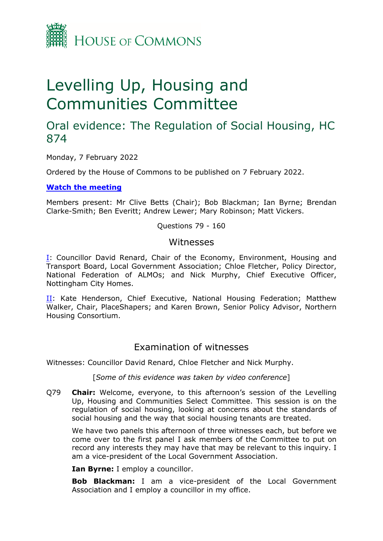

# Levelling Up, Housing and Communities Committee

# Oral evidence: The Regulation of Social Housing, HC 874

Monday, 7 February 2022

Ordered by the House of Commons to be published on 7 February 2022.

**[Watch](https://parliamentlive.tv/Event/Index/0f0511b0-15c8-40ec-a006-2daba3f7cd6b) [the](https://parliamentlive.tv/Event/Index/0f0511b0-15c8-40ec-a006-2daba3f7cd6b) [meeting](https://parliamentlive.tv/Event/Index/0f0511b0-15c8-40ec-a006-2daba3f7cd6b)**

Members present: Mr Clive Betts (Chair); Bob Blackman; Ian Byrne; Brendan Clarke-Smith; Ben Everitt; Andrew Lewer; Mary Robinson; Matt Vickers.

Questions 79 - 160

### Witnesses

[I:](#page-0-0) Councillor David Renard, Chair of the Economy, Environment, Housing and Transport Board, Local Government Association; Chloe Fletcher, Policy Director, National Federation of ALMOs; and Nick Murphy, Chief Executive Officer, Nottingham City Homes.

[II](#page-17-0): Kate Henderson, Chief Executive, National Housing Federation; Matthew Walker, Chair, PlaceShapers; and Karen Brown, Senior Policy Advisor, Northern Housing Consortium.

# <span id="page-0-0"></span>Examination of witnesses

Witnesses: Councillor David Renard, Chloe Fletcher and Nick Murphy.

[*Some of this evidence was taken by video conference*]

Q79 **Chair:** Welcome, everyone, to this afternoon's session of the Levelling Up, Housing and Communities Select Committee. This session is on the regulation of social housing, looking at concerns about the standards of social housing and the way that social housing tenants are treated.

We have two panels this afternoon of three witnesses each, but before we come over to the first panel I ask members of the Committee to put on record any interests they may have that may be relevant to this inquiry. I am a vice-president of the Local Government Association.

**Ian Byrne:** I employ a councillor.

**Bob Blackman:** I am a vice-president of the Local Government Association and I employ a councillor in my office.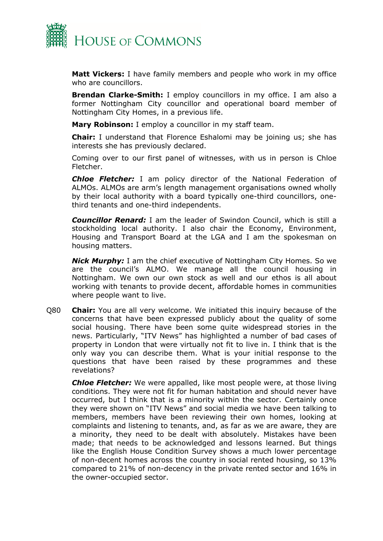

**Matt Vickers:** I have family members and people who work in my office who are councillors.

**Brendan Clarke-Smith:** I employ councillors in my office. I am also a former Nottingham City councillor and operational board member of Nottingham City Homes, in a previous life.

**Mary Robinson:** I employ a councillor in my staff team.

**Chair:** I understand that Florence Eshalomi may be joining us; she has interests she has previously declared.

Coming over to our first panel of witnesses, with us in person is Chloe Fletcher.

*Chloe Fletcher:* I am policy director of the National Federation of ALMOs. ALMOs are arm's length management organisations owned wholly by their local authority with a board typically one-third councillors, onethird tenants and one-third independents.

*Councillor Renard:* I am the leader of Swindon Council, which is still a stockholding local authority. I also chair the Economy, Environment, Housing and Transport Board at the LGA and I am the spokesman on housing matters.

*Nick Murphy:* I am the chief executive of Nottingham City Homes. So we are the council's ALMO. We manage all the council housing in Nottingham. We own our own stock as well and our ethos is all about working with tenants to provide decent, affordable homes in communities where people want to live.

Q80 **Chair:** You are all very welcome. We initiated this inquiry because of the concerns that have been expressed publicly about the quality of some social housing. There have been some quite widespread stories in the news. Particularly, "ITV News" has highlighted a number of bad cases of property in London that were virtually not fit to live in. I think that is the only way you can describe them. What is your initial response to the questions that have been raised by these programmes and these revelations?

*Chloe Fletcher:* We were appalled, like most people were, at those living conditions. They were not fit for human habitation and should never have occurred, but I think that is a minority within the sector. Certainly once they were shown on "ITV News" and social media we have been talking to members, members have been reviewing their own homes, looking at complaints and listening to tenants, and, as far as we are aware, they are a minority, they need to be dealt with absolutely. Mistakes have been made; that needs to be acknowledged and lessons learned. But things like the English House Condition Survey shows a much lower percentage of non-decent homes across the country in social rented housing, so 13% compared to 21% of non-decency in the private rented sector and 16% in the owner-occupied sector.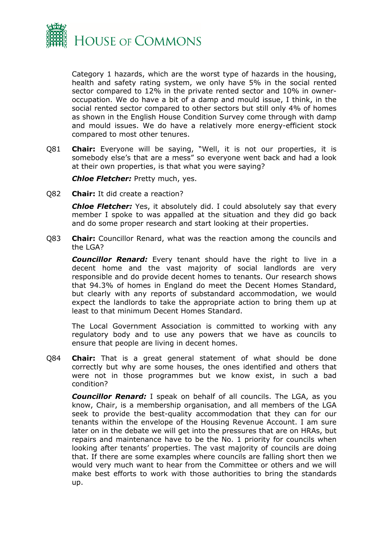

Category 1 hazards, which are the worst type of hazards in the housing, health and safety rating system, we only have 5% in the social rented sector compared to 12% in the private rented sector and 10% in owneroccupation. We do have a bit of a damp and mould issue, I think, in the social rented sector compared to other sectors but still only 4% of homes as shown in the English House Condition Survey come through with damp and mould issues. We do have a relatively more energy-efficient stock compared to most other tenures.

Q81 **Chair:** Everyone will be saying, "Well, it is not our properties, it is somebody else's that are a mess" so everyone went back and had a look at their own properties, is that what you were saying?

*Chloe Fletcher:* Pretty much, yes.

Q82 **Chair:** It did create a reaction?

*Chloe Fletcher:* Yes, it absolutely did. I could absolutely say that every member I spoke to was appalled at the situation and they did go back and do some proper research and start looking at their properties.

Q83 **Chair:** Councillor Renard, what was the reaction among the councils and the LGA?

*Councillor Renard:* Every tenant should have the right to live in a decent home and the vast majority of social landlords are very responsible and do provide decent homes to tenants. Our research shows that 94.3% of homes in England do meet the Decent Homes Standard, but clearly with any reports of substandard accommodation, we would expect the landlords to take the appropriate action to bring them up at least to that minimum Decent Homes Standard.

The Local Government Association is committed to working with any regulatory body and to use any powers that we have as councils to ensure that people are living in decent homes.

Q84 **Chair:** That is a great general statement of what should be done correctly but why are some houses, the ones identified and others that were not in those programmes but we know exist, in such a bad condition?

*Councillor Renard:* I speak on behalf of all councils. The LGA, as you know, Chair, is a membership organisation, and all members of the LGA seek to provide the best-quality accommodation that they can for our tenants within the envelope of the Housing Revenue Account. I am sure later on in the debate we will get into the pressures that are on HRAs, but repairs and maintenance have to be the No. 1 priority for councils when looking after tenants' properties. The vast majority of councils are doing that. If there are some examples where councils are falling short then we would very much want to hear from the Committee or others and we will make best efforts to work with those authorities to bring the standards up.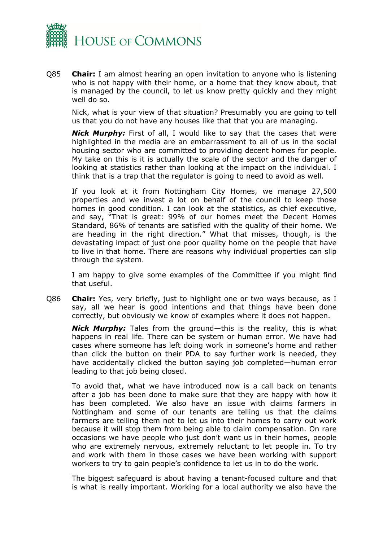

Q85 **Chair:** I am almost hearing an open invitation to anyone who is listening who is not happy with their home, or a home that they know about, that is managed by the council, to let us know pretty quickly and they might well do so.

Nick, what is your view of that situation? Presumably you are going to tell us that you do not have any houses like that that you are managing.

*Nick Murphy:* First of all, I would like to say that the cases that were highlighted in the media are an embarrassment to all of us in the social housing sector who are committed to providing decent homes for people. My take on this is it is actually the scale of the sector and the danger of looking at statistics rather than looking at the impact on the individual. I think that is a trap that the regulator is going to need to avoid as well.

If you look at it from Nottingham City Homes, we manage 27,500 properties and we invest a lot on behalf of the council to keep those homes in good condition. I can look at the statistics, as chief executive, and say, "That is great: 99% of our homes meet the Decent Homes Standard, 86% of tenants are satisfied with the quality of their home. We are heading in the right direction." What that misses, though, is the devastating impact of just one poor quality home on the people that have to live in that home. There are reasons why individual properties can slip through the system.

I am happy to give some examples of the Committee if you might find that useful.

Q86 **Chair:** Yes, very briefly, just to highlight one or two ways because, as I say, all we hear is good intentions and that things have been done correctly, but obviously we know of examples where it does not happen.

*Nick Murphy:* Tales from the ground—this is the reality, this is what happens in real life. There can be system or human error. We have had cases where someone has left doing work in someone's home and rather than click the button on their PDA to say further work is needed, they have accidentally clicked the button saying job completed—human error leading to that job being closed.

To avoid that, what we have introduced now is a call back on tenants after a job has been done to make sure that they are happy with how it has been completed. We also have an issue with claims farmers in Nottingham and some of our tenants are telling us that the claims farmers are telling them not to let us into their homes to carry out work because it will stop them from being able to claim compensation. On rare occasions we have people who just don't want us in their homes, people who are extremely nervous, extremely reluctant to let people in. To try and work with them in those cases we have been working with support workers to try to gain people's confidence to let us in to do the work.

The biggest safeguard is about having a tenant-focused culture and that is what is really important. Working for a local authority we also have the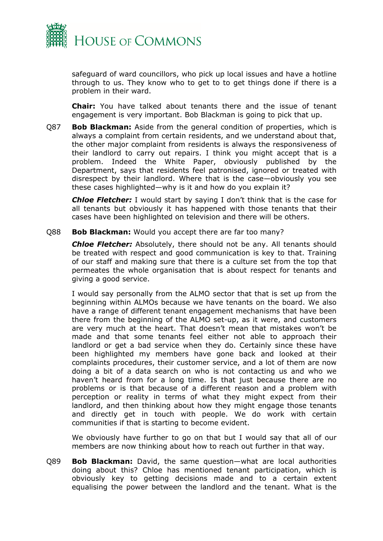

safeguard of ward councillors, who pick up local issues and have a hotline through to us. They know who to get to to get things done if there is a problem in their ward.

**Chair:** You have talked about tenants there and the issue of tenant engagement is very important. Bob Blackman is going to pick that up.

Q87 **Bob Blackman:** Aside from the general condition of properties, which is always a complaint from certain residents, and we understand about that, the other major complaint from residents is always the responsiveness of their landlord to carry out repairs. I think you might accept that is a problem. Indeed the White Paper, obviously published by the Department, says that residents feel patronised, ignored or treated with disrespect by their landlord. Where that is the case—obviously you see these cases highlighted—why is it and how do you explain it?

*Chloe Fletcher:* I would start by saying I don't think that is the case for all tenants but obviously it has happened with those tenants that their cases have been highlighted on television and there will be others.

Q88 **Bob Blackman:** Would you accept there are far too many?

*Chloe Fletcher:* Absolutely, there should not be any. All tenants should be treated with respect and good communication is key to that. Training of our staff and making sure that there is a culture set from the top that permeates the whole organisation that is about respect for tenants and giving a good service.

I would say personally from the ALMO sector that that is set up from the beginning within ALMOs because we have tenants on the board. We also have a range of different tenant engagement mechanisms that have been there from the beginning of the ALMO set-up, as it were, and customers are very much at the heart. That doesn't mean that mistakes won't be made and that some tenants feel either not able to approach their landlord or get a bad service when they do. Certainly since these have been highlighted my members have gone back and looked at their complaints procedures, their customer service, and a lot of them are now doing a bit of a data search on who is not contacting us and who we haven't heard from for a long time. Is that just because there are no problems or is that because of a different reason and a problem with perception or reality in terms of what they might expect from their landlord, and then thinking about how they might engage those tenants and directly get in touch with people. We do work with certain communities if that is starting to become evident.

We obviously have further to go on that but I would say that all of our members are now thinking about how to reach out further in that way.

Q89 **Bob Blackman:** David, the same question—what are local authorities doing about this? Chloe has mentioned tenant participation, which is obviously key to getting decisions made and to a certain extent equalising the power between the landlord and the tenant. What is the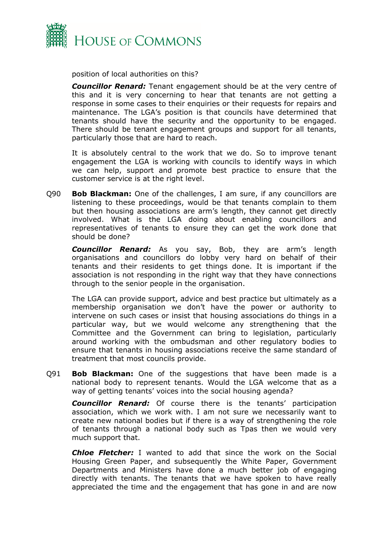

position of local authorities on this?

*Councillor Renard:* Tenant engagement should be at the very centre of this and it is very concerning to hear that tenants are not getting a response in some cases to their enquiries or their requests for repairs and maintenance. The LGA's position is that councils have determined that tenants should have the security and the opportunity to be engaged. There should be tenant engagement groups and support for all tenants, particularly those that are hard to reach.

It is absolutely central to the work that we do. So to improve tenant engagement the LGA is working with councils to identify ways in which we can help, support and promote best practice to ensure that the customer service is at the right level.

Q90 **Bob Blackman:** One of the challenges, I am sure, if any councillors are listening to these proceedings, would be that tenants complain to them but then housing associations are arm's length, they cannot get directly involved. What is the LGA doing about enabling councillors and representatives of tenants to ensure they can get the work done that should be done?

*Councillor Renard:* As you say, Bob, they are arm's length organisations and councillors do lobby very hard on behalf of their tenants and their residents to get things done. It is important if the association is not responding in the right way that they have connections through to the senior people in the organisation.

The LGA can provide support, advice and best practice but ultimately as a membership organisation we don't have the power or authority to intervene on such cases or insist that housing associations do things in a particular way, but we would welcome any strengthening that the Committee and the Government can bring to legislation, particularly around working with the ombudsman and other regulatory bodies to ensure that tenants in housing associations receive the same standard of treatment that most councils provide.

Q91 **Bob Blackman:** One of the suggestions that have been made is a national body to represent tenants. Would the LGA welcome that as a way of getting tenants' voices into the social housing agenda?

*Councillor Renard:* Of course there is the tenants' participation association, which we work with. I am not sure we necessarily want to create new national bodies but if there is a way of strengthening the role of tenants through a national body such as Tpas then we would very much support that.

*Chloe Fletcher:* I wanted to add that since the work on the Social Housing Green Paper, and subsequently the White Paper, Government Departments and Ministers have done a much better job of engaging directly with tenants. The tenants that we have spoken to have really appreciated the time and the engagement that has gone in and are now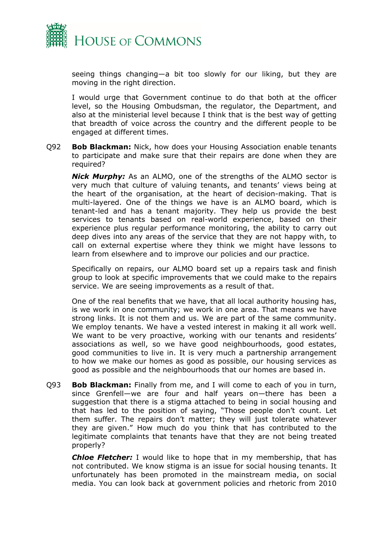

seeing things changing—a bit too slowly for our liking, but they are moving in the right direction.

I would urge that Government continue to do that both at the officer level, so the Housing Ombudsman, the regulator, the Department, and also at the ministerial level because I think that is the best way of getting that breadth of voice across the country and the different people to be engaged at different times.

Q92 **Bob Blackman:** Nick, how does your Housing Association enable tenants to participate and make sure that their repairs are done when they are required?

*Nick Murphy:* As an ALMO, one of the strengths of the ALMO sector is very much that culture of valuing tenants, and tenants' views being at the heart of the organisation, at the heart of decision-making. That is multi-layered. One of the things we have is an ALMO board, which is tenant-led and has a tenant majority. They help us provide the best services to tenants based on real-world experience, based on their experience plus regular performance monitoring, the ability to carry out deep dives into any areas of the service that they are not happy with, to call on external expertise where they think we might have lessons to learn from elsewhere and to improve our policies and our practice.

Specifically on repairs, our ALMO board set up a repairs task and finish group to look at specific improvements that we could make to the repairs service. We are seeing improvements as a result of that.

One of the real benefits that we have, that all local authority housing has, is we work in one community; we work in one area. That means we have strong links. It is not them and us. We are part of the same community. We employ tenants. We have a vested interest in making it all work well. We want to be very proactive, working with our tenants and residents' associations as well, so we have good neighbourhoods, good estates, good communities to live in. It is very much a partnership arrangement to how we make our homes as good as possible, our housing services as good as possible and the neighbourhoods that our homes are based in.

Q93 **Bob Blackman:** Finally from me, and I will come to each of you in turn, since Grenfell—we are four and half years on—there has been a suggestion that there is a stigma attached to being in social housing and that has led to the position of saying, "Those people don't count. Let them suffer. The repairs don't matter; they will just tolerate whatever they are given." How much do you think that has contributed to the legitimate complaints that tenants have that they are not being treated properly?

*Chloe Fletcher:* I would like to hope that in my membership, that has not contributed. We know stigma is an issue for social housing tenants. It unfortunately has been promoted in the mainstream media, on social media. You can look back at government policies and rhetoric from 2010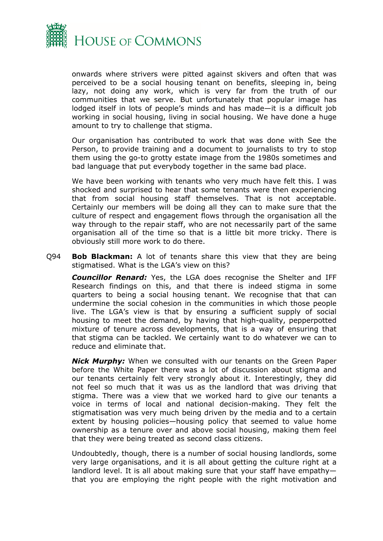

onwards where strivers were pitted against skivers and often that was perceived to be a social housing tenant on benefits, sleeping in, being lazy, not doing any work, which is very far from the truth of our communities that we serve. But unfortunately that popular image has lodged itself in lots of people's minds and has made—it is a difficult job working in social housing, living in social housing. We have done a huge amount to try to challenge that stigma.

Our organisation has contributed to work that was done with See the Person, to provide training and a document to journalists to try to stop them using the go-to grotty estate image from the 1980s sometimes and bad language that put everybody together in the same bad place.

We have been working with tenants who very much have felt this. I was shocked and surprised to hear that some tenants were then experiencing that from social housing staff themselves. That is not acceptable. Certainly our members will be doing all they can to make sure that the culture of respect and engagement flows through the organisation all the way through to the repair staff, who are not necessarily part of the same organisation all of the time so that is a little bit more tricky. There is obviously still more work to do there.

Q94 **Bob Blackman:** A lot of tenants share this view that they are being stigmatised. What is the LGA's view on this?

*Councillor Renard:* Yes, the LGA does recognise the Shelter and IFF Research findings on this, and that there is indeed stigma in some quarters to being a social housing tenant. We recognise that that can undermine the social cohesion in the communities in which those people live. The LGA's view is that by ensuring a sufficient supply of social housing to meet the demand, by having that high-quality, pepperpotted mixture of tenure across developments, that is a way of ensuring that that stigma can be tackled. We certainly want to do whatever we can to reduce and eliminate that.

*Nick Murphy:* When we consulted with our tenants on the Green Paper before the White Paper there was a lot of discussion about stigma and our tenants certainly felt very strongly about it. Interestingly, they did not feel so much that it was us as the landlord that was driving that stigma. There was a view that we worked hard to give our tenants a voice in terms of local and national decision-making. They felt the stigmatisation was very much being driven by the media and to a certain extent by housing policies—housing policy that seemed to value home ownership as a tenure over and above social housing, making them feel that they were being treated as second class citizens.

Undoubtedly, though, there is a number of social housing landlords, some very large organisations, and it is all about getting the culture right at a landlord level. It is all about making sure that your staff have empathy that you are employing the right people with the right motivation and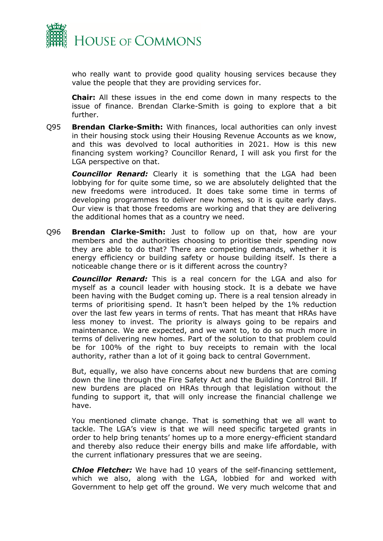

who really want to provide good quality housing services because they value the people that they are providing services for.

**Chair:** All these issues in the end come down in many respects to the issue of finance. Brendan Clarke-Smith is going to explore that a bit further.

Q95 **Brendan Clarke-Smith:** With finances, local authorities can only invest in their housing stock using their Housing Revenue Accounts as we know, and this was devolved to local authorities in 2021. How is this new financing system working? Councillor Renard, I will ask you first for the LGA perspective on that.

*Councillor Renard:* Clearly it is something that the LGA had been lobbying for for quite some time, so we are absolutely delighted that the new freedoms were introduced. It does take some time in terms of developing programmes to deliver new homes, so it is quite early days. Our view is that those freedoms are working and that they are delivering the additional homes that as a country we need.

Q96 **Brendan Clarke-Smith:** Just to follow up on that, how are your members and the authorities choosing to prioritise their spending now they are able to do that? There are competing demands, whether it is energy efficiency or building safety or house building itself. Is there a noticeable change there or is it different across the country?

*Councillor Renard:* This is a real concern for the LGA and also for myself as a council leader with housing stock. It is a debate we have been having with the Budget coming up. There is a real tension already in terms of prioritising spend. It hasn't been helped by the 1% reduction over the last few years in terms of rents. That has meant that HRAs have less money to invest. The priority is always going to be repairs and maintenance. We are expected, and we want to, to do so much more in terms of delivering new homes. Part of the solution to that problem could be for 100% of the right to buy receipts to remain with the local authority, rather than a lot of it going back to central Government.

But, equally, we also have concerns about new burdens that are coming down the line through the Fire Safety Act and the Building Control Bill. If new burdens are placed on HRAs through that legislation without the funding to support it, that will only increase the financial challenge we have.

You mentioned climate change. That is something that we all want to tackle. The LGA's view is that we will need specific targeted grants in order to help bring tenants' homes up to a more energy-efficient standard and thereby also reduce their energy bills and make life affordable, with the current inflationary pressures that we are seeing.

*Chloe Fletcher:* We have had 10 years of the self-financing settlement, which we also, along with the LGA, lobbied for and worked with Government to help get off the ground. We very much welcome that and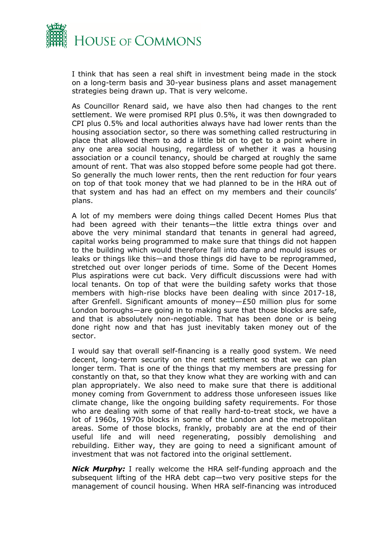

I think that has seen a real shift in investment being made in the stock on a long-term basis and 30-year business plans and asset management strategies being drawn up. That is very welcome.

As Councillor Renard said, we have also then had changes to the rent settlement. We were promised RPI plus 0.5%, it was then downgraded to CPI plus 0.5% and local authorities always have had lower rents than the housing association sector, so there was something called restructuring in place that allowed them to add a little bit on to get to a point where in any one area social housing, regardless of whether it was a housing association or a council tenancy, should be charged at roughly the same amount of rent. That was also stopped before some people had got there. So generally the much lower rents, then the rent reduction for four years on top of that took money that we had planned to be in the HRA out of that system and has had an effect on my members and their councils' plans.

A lot of my members were doing things called Decent Homes Plus that had been agreed with their tenants—the little extra things over and above the very minimal standard that tenants in general had agreed, capital works being programmed to make sure that things did not happen to the building which would therefore fall into damp and mould issues or leaks or things like this—and those things did have to be reprogrammed, stretched out over longer periods of time. Some of the Decent Homes Plus aspirations were cut back. Very difficult discussions were had with local tenants. On top of that were the building safety works that those members with high-rise blocks have been dealing with since 2017-18, after Grenfell. Significant amounts of money—£50 million plus for some London boroughs—are going in to making sure that those blocks are safe, and that is absolutely non-negotiable. That has been done or is being done right now and that has just inevitably taken money out of the sector.

I would say that overall self-financing is a really good system. We need decent, long-term security on the rent settlement so that we can plan longer term. That is one of the things that my members are pressing for constantly on that, so that they know what they are working with and can plan appropriately. We also need to make sure that there is additional money coming from Government to address those unforeseen issues like climate change, like the ongoing building safety requirements. For those who are dealing with some of that really hard-to-treat stock, we have a lot of 1960s, 1970s blocks in some of the London and the metropolitan areas. Some of those blocks, frankly, probably are at the end of their useful life and will need regenerating, possibly demolishing and rebuilding. Either way, they are going to need a significant amount of investment that was not factored into the original settlement.

*Nick Murphy:* I really welcome the HRA self-funding approach and the subsequent lifting of the HRA debt cap—two very positive steps for the management of council housing. When HRA self-financing was introduced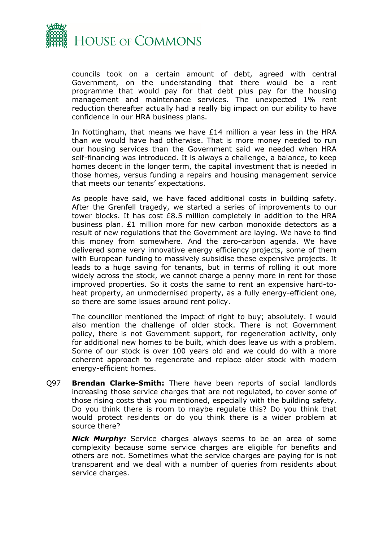

councils took on a certain amount of debt, agreed with central Government, on the understanding that there would be a rent programme that would pay for that debt plus pay for the housing management and maintenance services. The unexpected 1% rent reduction thereafter actually had a really big impact on our ability to have confidence in our HRA business plans.

In Nottingham, that means we have  $E14$  million a year less in the HRA than we would have had otherwise. That is more money needed to run our housing services than the Government said we needed when HRA self-financing was introduced. It is always a challenge, a balance, to keep homes decent in the longer term, the capital investment that is needed in those homes, versus funding a repairs and housing management service that meets our tenants' expectations.

As people have said, we have faced additional costs in building safety. After the Grenfell tragedy, we started a series of improvements to our tower blocks. It has cost £8.5 million completely in addition to the HRA business plan. £1 million more for new carbon monoxide detectors as a result of new regulations that the Government are laying. We have to find this money from somewhere. And the zero-carbon agenda. We have delivered some very innovative energy efficiency projects, some of them with European funding to massively subsidise these expensive projects. It leads to a huge saving for tenants, but in terms of rolling it out more widely across the stock, we cannot charge a penny more in rent for those improved properties. So it costs the same to rent an expensive hard-toheat property, an unmodernised property, as a fully energy-efficient one, so there are some issues around rent policy.

The councillor mentioned the impact of right to buy; absolutely. I would also mention the challenge of older stock. There is not Government policy, there is not Government support, for regeneration activity, only for additional new homes to be built, which does leave us with a problem. Some of our stock is over 100 years old and we could do with a more coherent approach to regenerate and replace older stock with modern energy-efficient homes.

Q97 **Brendan Clarke-Smith:** There have been reports of social landlords increasing those service charges that are not regulated, to cover some of those rising costs that you mentioned, especially with the building safety. Do you think there is room to maybe regulate this? Do you think that would protect residents or do you think there is a wider problem at source there?

*Nick Murphy:* Service charges always seems to be an area of some complexity because some service charges are eligible for benefits and others are not. Sometimes what the service charges are paying for is not transparent and we deal with a number of queries from residents about service charges.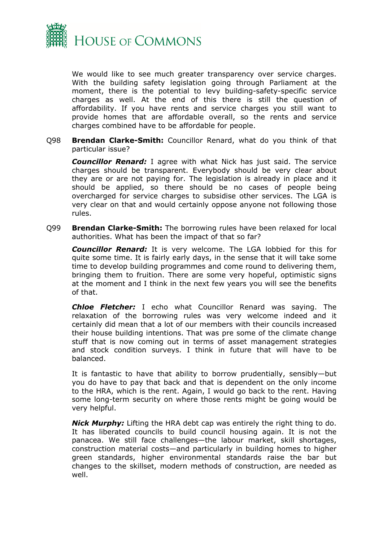

We would like to see much greater transparency over service charges. With the building safety legislation going through Parliament at the moment, there is the potential to levy building-safety-specific service charges as well. At the end of this there is still the question of affordability. If you have rents and service charges you still want to provide homes that are affordable overall, so the rents and service charges combined have to be affordable for people.

Q98 **Brendan Clarke-Smith:** Councillor Renard, what do you think of that particular issue?

*Councillor Renard:* I agree with what Nick has just said. The service charges should be transparent. Everybody should be very clear about they are or are not paying for. The legislation is already in place and it should be applied, so there should be no cases of people being overcharged for service charges to subsidise other services. The LGA is very clear on that and would certainly oppose anyone not following those rules.

Q99 **Brendan Clarke-Smith:** The borrowing rules have been relaxed for local authorities. What has been the impact of that so far?

*Councillor Renard:* It is very welcome. The LGA lobbied for this for quite some time. It is fairly early days, in the sense that it will take some time to develop building programmes and come round to delivering them, bringing them to fruition. There are some very hopeful, optimistic signs at the moment and I think in the next few years you will see the benefits of that.

*Chloe Fletcher:* I echo what Councillor Renard was saying. The relaxation of the borrowing rules was very welcome indeed and it certainly did mean that a lot of our members with their councils increased their house building intentions. That was pre some of the climate change stuff that is now coming out in terms of asset management strategies and stock condition surveys. I think in future that will have to be balanced.

It is fantastic to have that ability to borrow prudentially, sensibly—but you do have to pay that back and that is dependent on the only income to the HRA, which is the rent. Again, I would go back to the rent. Having some long-term security on where those rents might be going would be very helpful.

*Nick Murphy:* Lifting the HRA debt cap was entirely the right thing to do. It has liberated councils to build council housing again. It is not the panacea. We still face challenges—the labour market, skill shortages, construction material costs—and particularly in building homes to higher green standards, higher environmental standards raise the bar but changes to the skillset, modern methods of construction, are needed as well.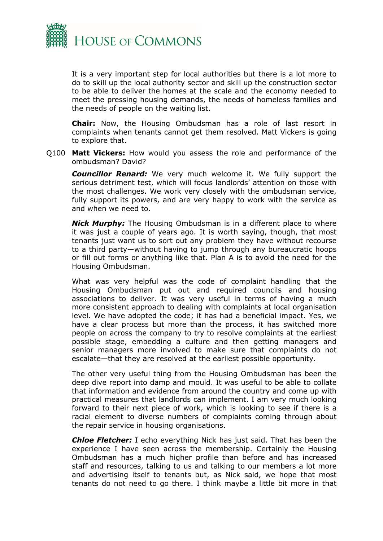

It is a very important step for local authorities but there is a lot more to do to skill up the local authority sector and skill up the construction sector to be able to deliver the homes at the scale and the economy needed to meet the pressing housing demands, the needs of homeless families and the needs of people on the waiting list.

**Chair:** Now, the Housing Ombudsman has a role of last resort in complaints when tenants cannot get them resolved. Matt Vickers is going to explore that.

Q100 **Matt Vickers:** How would you assess the role and performance of the ombudsman? David?

*Councillor Renard:* We very much welcome it. We fully support the serious detriment test, which will focus landlords' attention on those with the most challenges. We work very closely with the ombudsman service, fully support its powers, and are very happy to work with the service as and when we need to.

*Nick Murphy:* The Housing Ombudsman is in a different place to where it was just a couple of years ago. It is worth saying, though, that most tenants just want us to sort out any problem they have without recourse to a third party—without having to jump through any bureaucratic hoops or fill out forms or anything like that. Plan A is to avoid the need for the Housing Ombudsman.

What was very helpful was the code of complaint handling that the Housing Ombudsman put out and required councils and housing associations to deliver. It was very useful in terms of having a much more consistent approach to dealing with complaints at local organisation level. We have adopted the code; it has had a beneficial impact. Yes, we have a clear process but more than the process, it has switched more people on across the company to try to resolve complaints at the earliest possible stage, embedding a culture and then getting managers and senior managers more involved to make sure that complaints do not escalate—that they are resolved at the earliest possible opportunity.

The other very useful thing from the Housing Ombudsman has been the deep dive report into damp and mould. It was useful to be able to collate that information and evidence from around the country and come up with practical measures that landlords can implement. I am very much looking forward to their next piece of work, which is looking to see if there is a racial element to diverse numbers of complaints coming through about the repair service in housing organisations.

*Chloe Fletcher:* I echo everything Nick has just said. That has been the experience I have seen across the membership. Certainly the Housing Ombudsman has a much higher profile than before and has increased staff and resources, talking to us and talking to our members a lot more and advertising itself to tenants but, as Nick said, we hope that most tenants do not need to go there. I think maybe a little bit more in that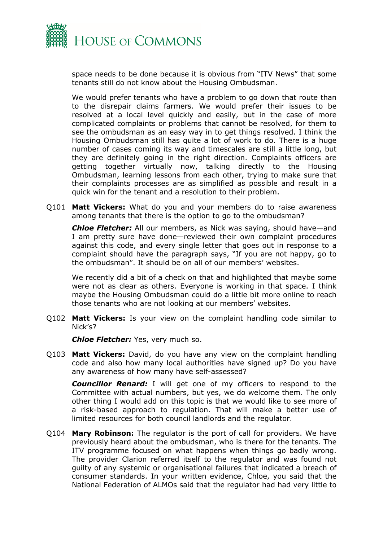

space needs to be done because it is obvious from "ITV News" that some tenants still do not know about the Housing Ombudsman.

We would prefer tenants who have a problem to go down that route than to the disrepair claims farmers. We would prefer their issues to be resolved at a local level quickly and easily, but in the case of more complicated complaints or problems that cannot be resolved, for them to see the ombudsman as an easy way in to get things resolved. I think the Housing Ombudsman still has quite a lot of work to do. There is a huge number of cases coming its way and timescales are still a little long, but they are definitely going in the right direction. Complaints officers are getting together virtually now, talking directly to the Housing Ombudsman, learning lessons from each other, trying to make sure that their complaints processes are as simplified as possible and result in a quick win for the tenant and a resolution to their problem.

Q101 **Matt Vickers:** What do you and your members do to raise awareness among tenants that there is the option to go to the ombudsman?

*Chloe Fletcher:* All our members, as Nick was saying, should have—and I am pretty sure have done—reviewed their own complaint procedures against this code, and every single letter that goes out in response to a complaint should have the paragraph says, "If you are not happy, go to the ombudsman". It should be on all of our members' websites.

We recently did a bit of a check on that and highlighted that maybe some were not as clear as others. Everyone is working in that space. I think maybe the Housing Ombudsman could do a little bit more online to reach those tenants who are not looking at our members' websites.

Q102 **Matt Vickers:** Is your view on the complaint handling code similar to Nick's?

*Chloe Fletcher:* Yes, very much so.

Q103 **Matt Vickers:** David, do you have any view on the complaint handling code and also how many local authorities have signed up? Do you have any awareness of how many have self-assessed?

*Councillor Renard:* I will get one of my officers to respond to the Committee with actual numbers, but yes, we do welcome them. The only other thing I would add on this topic is that we would like to see more of a risk-based approach to regulation. That will make a better use of limited resources for both council landlords and the regulator.

Q104 **Mary Robinson:** The regulator is the port of call for providers. We have previously heard about the ombudsman, who is there for the tenants. The ITV programme focused on what happens when things go badly wrong. The provider Clarion referred itself to the regulator and was found not guilty of any systemic or organisational failures that indicated a breach of consumer standards. In your written evidence, Chloe, you said that the National Federation of ALMOs said that the regulator had had very little to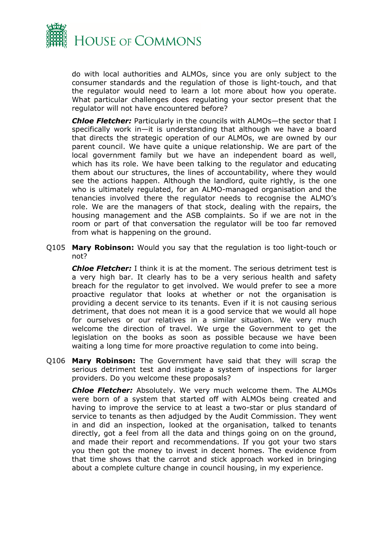

do with local authorities and ALMOs, since you are only subject to the consumer standards and the regulation of those is light-touch, and that the regulator would need to learn a lot more about how you operate. What particular challenges does regulating your sector present that the regulator will not have encountered before?

*Chloe Fletcher:* Particularly in the councils with ALMOs—the sector that I specifically work in—it is understanding that although we have a board that directs the strategic operation of our ALMOs, we are owned by our parent council. We have quite a unique relationship. We are part of the local government family but we have an independent board as well, which has its role. We have been talking to the regulator and educating them about our structures, the lines of accountability, where they would see the actions happen. Although the landlord, quite rightly, is the one who is ultimately regulated, for an ALMO-managed organisation and the tenancies involved there the regulator needs to recognise the ALMO's role. We are the managers of that stock, dealing with the repairs, the housing management and the ASB complaints. So if we are not in the room or part of that conversation the regulator will be too far removed from what is happening on the ground.

Q105 **Mary Robinson:** Would you say that the regulation is too light-touch or not?

*Chloe Fletcher:* I think it is at the moment. The serious detriment test is a very high bar. It clearly has to be a very serious health and safety breach for the regulator to get involved. We would prefer to see a more proactive regulator that looks at whether or not the organisation is providing a decent service to its tenants. Even if it is not causing serious detriment, that does not mean it is a good service that we would all hope for ourselves or our relatives in a similar situation. We very much welcome the direction of travel. We urge the Government to get the legislation on the books as soon as possible because we have been waiting a long time for more proactive regulation to come into being.

Q106 **Mary Robinson:** The Government have said that they will scrap the serious detriment test and instigate a system of inspections for larger providers. Do you welcome these proposals?

*Chloe Fletcher:* Absolutely. We very much welcome them. The ALMOs were born of a system that started off with ALMOs being created and having to improve the service to at least a two-star or plus standard of service to tenants as then adjudged by the Audit Commission. They went in and did an inspection, looked at the organisation, talked to tenants directly, got a feel from all the data and things going on on the ground, and made their report and recommendations. If you got your two stars you then got the money to invest in decent homes. The evidence from that time shows that the carrot and stick approach worked in bringing about a complete culture change in council housing, in my experience.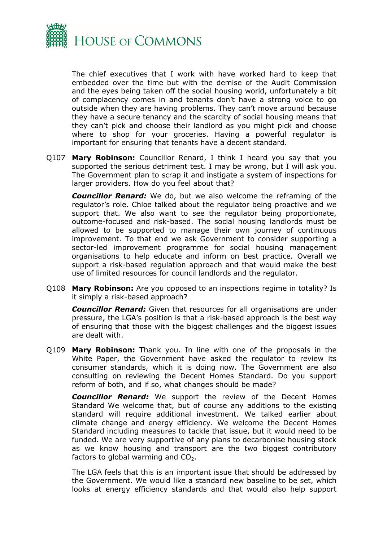

The chief executives that I work with have worked hard to keep that embedded over the time but with the demise of the Audit Commission and the eyes being taken off the social housing world, unfortunately a bit of complacency comes in and tenants don't have a strong voice to go outside when they are having problems. They can't move around because they have a secure tenancy and the scarcity of social housing means that they can't pick and choose their landlord as you might pick and choose where to shop for your groceries. Having a powerful regulator is important for ensuring that tenants have a decent standard.

Q107 **Mary Robinson:** Councillor Renard, I think I heard you say that you supported the serious detriment test. I may be wrong, but I will ask you. The Government plan to scrap it and instigate a system of inspections for larger providers. How do you feel about that?

*Councillor Renard:* We do, but we also welcome the reframing of the regulator's role. Chloe talked about the regulator being proactive and we support that. We also want to see the regulator being proportionate, outcome-focused and risk-based. The social housing landlords must be allowed to be supported to manage their own journey of continuous improvement. To that end we ask Government to consider supporting a sector-led improvement programme for social housing management organisations to help educate and inform on best practice. Overall we support a risk-based regulation approach and that would make the best use of limited resources for council landlords and the regulator.

Q108 **Mary Robinson:** Are you opposed to an inspections regime in totality? Is it simply a risk-based approach?

*Councillor Renard:* Given that resources for all organisations are under pressure, the LGA's position is that a risk-based approach is the best way of ensuring that those with the biggest challenges and the biggest issues are dealt with.

Q109 **Mary Robinson:** Thank you. In line with one of the proposals in the White Paper, the Government have asked the regulator to review its consumer standards, which it is doing now. The Government are also consulting on reviewing the Decent Homes Standard. Do you support reform of both, and if so, what changes should be made?

*Councillor Renard:* We support the review of the Decent Homes Standard We welcome that, but of course any additions to the existing standard will require additional investment. We talked earlier about climate change and energy efficiency. We welcome the Decent Homes Standard including measures to tackle that issue, but it would need to be funded. We are very supportive of any plans to decarbonise housing stock as we know housing and transport are the two biggest contributory factors to global warming and  $CO<sub>2</sub>$ .

The LGA feels that this is an important issue that should be addressed by the Government. We would like a standard new baseline to be set, which looks at energy efficiency standards and that would also help support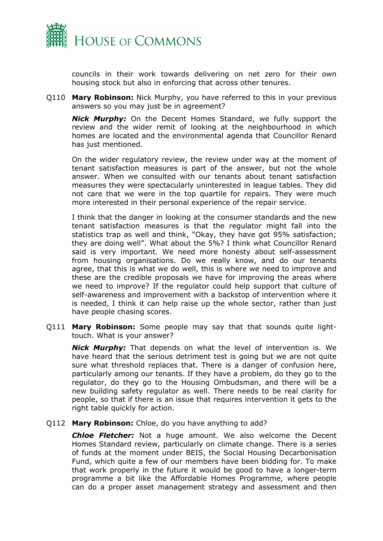

councils in their work towards delivering on net zero for their own housing stock but also in enforcing that across other tenures.

Q110 **Mary Robinson:** Nick Murphy, you have referred to this in your previous answers so you may just be in agreement?

*Nick Murphy:* On the Decent Homes Standard, we fully support the review and the wider remit of looking at the neighbourhood in which homes are located and the environmental agenda that Councillor Renard has just mentioned.

On the wider regulatory review, the review under way at the moment of tenant satisfaction measures is part of the answer, but not the whole answer. When we consulted with our tenants about tenant satisfaction measures they were spectacularly uninterested in league tables. They did not care that we were in the top quartile for repairs. They were much more interested in their personal experience of the repair service.

I think that the danger in looking at the consumer standards and the new tenant satisfaction measures is that the regulator might fall into the statistics trap as well and think, "Okay, they have got 95% satisfaction; they are doing well". What about the 5%? I think what Councillor Renard said is very important. We need more honesty about self-assessment from housing organisations. Do we really know, and do our tenants agree, that this is what we do well, this is where we need to improve and these are the credible proposals we have for improving the areas where we need to improve? If the regulator could help support that culture of self-awareness and improvement with a backstop of intervention where it is needed, I think it can help raise up the whole sector, rather than just have people chasing scores.

Q111 **Mary Robinson:** Some people may say that that sounds quite lighttouch. What is your answer?

*Nick Murphy:* That depends on what the level of intervention is. We have heard that the serious detriment test is going but we are not quite sure what threshold replaces that. There is a danger of confusion here, particularly among our tenants. If they have a problem, do they go to the regulator, do they go to the Housing Ombudsman, and there will be a new building safety regulator as well. There needs to be real clarity for people, so that if there is an issue that requires intervention it gets to the right table quickly for action.

#### Q112 **Mary Robinson:** Chloe, do you have anything to add?

*Chloe Fletcher:* Not a huge amount. We also welcome the Decent Homes Standard review, particularly on climate change. There is a series of funds at the moment under BEIS, the Social Housing Decarbonisation Fund, which quite a few of our members have been bidding for. To make that work properly in the future it would be good to have a longer-term programme a bit like the Affordable Homes Programme, where people can do a proper asset management strategy and assessment and then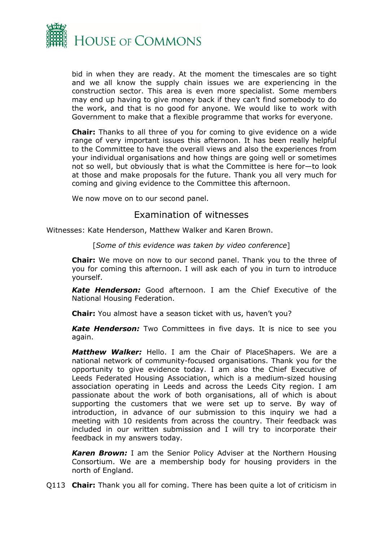

bid in when they are ready. At the moment the timescales are so tight and we all know the supply chain issues we are experiencing in the construction sector. This area is even more specialist. Some members may end up having to give money back if they can't find somebody to do the work, and that is no good for anyone. We would like to work with Government to make that a flexible programme that works for everyone.

**Chair:** Thanks to all three of you for coming to give evidence on a wide range of very important issues this afternoon. It has been really helpful to the Committee to have the overall views and also the experiences from your individual organisations and how things are going well or sometimes not so well, but obviously that is what the Committee is here for—to look at those and make proposals for the future. Thank you all very much for coming and giving evidence to the Committee this afternoon.

We now move on to our second panel.

## <span id="page-17-0"></span>Examination of witnesses

Witnesses: Kate Henderson, Matthew Walker and Karen Brown.

[*Some of this evidence was taken by video conference*]

**Chair:** We move on now to our second panel. Thank you to the three of you for coming this afternoon. I will ask each of you in turn to introduce yourself.

*Kate Henderson:* Good afternoon. I am the Chief Executive of the National Housing Federation.

**Chair:** You almost have a season ticket with us, haven't you?

*Kate Henderson:* Two Committees in five days. It is nice to see you again.

*Matthew Walker:* Hello. I am the Chair of PlaceShapers. We are a national network of community-focused organisations. Thank you for the opportunity to give evidence today. I am also the Chief Executive of Leeds Federated Housing Association, which is a medium-sized housing association operating in Leeds and across the Leeds City region. I am passionate about the work of both organisations, all of which is about supporting the customers that we were set up to serve. By way of introduction, in advance of our submission to this inquiry we had a meeting with 10 residents from across the country. Their feedback was included in our written submission and I will try to incorporate their feedback in my answers today.

*Karen Brown:* I am the Senior Policy Adviser at the Northern Housing Consortium. We are a membership body for housing providers in the north of England.

Q113 **Chair:** Thank you all for coming. There has been quite a lot of criticism in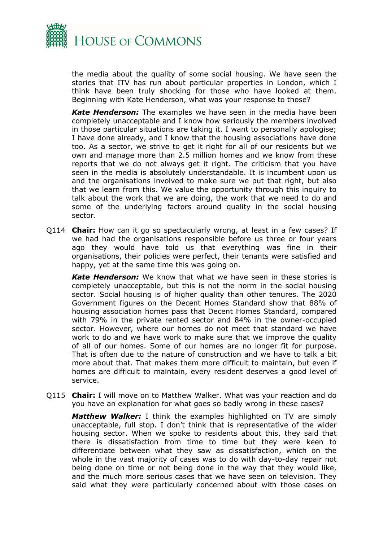

the media about the quality of some social housing. We have seen the stories that ITV has run about particular properties in London, which I think have been truly shocking for those who have looked at them. Beginning with Kate Henderson, what was your response to those?

*Kate Henderson:* The examples we have seen in the media have been completely unacceptable and I know how seriously the members involved in those particular situations are taking it. I want to personally apologise; I have done already, and I know that the housing associations have done too. As a sector, we strive to get it right for all of our residents but we own and manage more than 2.5 million homes and we know from these reports that we do not always get it right. The criticism that you have seen in the media is absolutely understandable. It is incumbent upon us and the organisations involved to make sure we put that right, but also that we learn from this. We value the opportunity through this inquiry to talk about the work that we are doing, the work that we need to do and some of the underlying factors around quality in the social housing sector.

Q114 **Chair:** How can it go so spectacularly wrong, at least in a few cases? If we had had the organisations responsible before us three or four years ago they would have told us that everything was fine in their organisations, their policies were perfect, their tenants were satisfied and happy, yet at the same time this was going on.

*Kate Henderson:* We know that what we have seen in these stories is completely unacceptable, but this is not the norm in the social housing sector. Social housing is of higher quality than other tenures. The 2020 Government figures on the Decent Homes Standard show that 88% of housing association homes pass that Decent Homes Standard, compared with 79% in the private rented sector and 84% in the owner-occupied sector. However, where our homes do not meet that standard we have work to do and we have work to make sure that we improve the quality of all of our homes. Some of our homes are no longer fit for purpose. That is often due to the nature of construction and we have to talk a bit more about that. That makes them more difficult to maintain, but even if homes are difficult to maintain, every resident deserves a good level of service.

Q115 **Chair:** I will move on to Matthew Walker. What was your reaction and do you have an explanation for what goes so badly wrong in these cases?

*Matthew Walker:* I think the examples highlighted on TV are simply unacceptable, full stop. I don't think that is representative of the wider housing sector. When we spoke to residents about this, they said that there is dissatisfaction from time to time but they were keen to differentiate between what they saw as dissatisfaction, which on the whole in the vast majority of cases was to do with day-to-day repair not being done on time or not being done in the way that they would like, and the much more serious cases that we have seen on television. They said what they were particularly concerned about with those cases on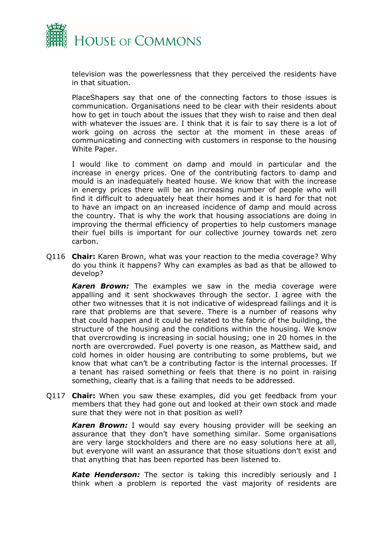

television was the powerlessness that they perceived the residents have in that situation.

PlaceShapers say that one of the connecting factors to those issues is communication. Organisations need to be clear with their residents about how to get in touch about the issues that they wish to raise and then deal with whatever the issues are. I think that it is fair to say there is a lot of work going on across the sector at the moment in these areas of communicating and connecting with customers in response to the housing White Paper.

I would like to comment on damp and mould in particular and the increase in energy prices. One of the contributing factors to damp and mould is an inadequately heated house. We know that with the increase in energy prices there will be an increasing number of people who will find it difficult to adequately heat their homes and it is hard for that not to have an impact on an increased incidence of damp and mould across the country. That is why the work that housing associations are doing in improving the thermal efficiency of properties to help customers manage their fuel bills is important for our collective journey towards net zero carbon.

Q116 **Chair:** Karen Brown, what was your reaction to the media coverage? Why do you think it happens? Why can examples as bad as that be allowed to develop?

*Karen Brown:* The examples we saw in the media coverage were appalling and it sent shockwaves through the sector. I agree with the other two witnesses that it is not indicative of widespread failings and it is rare that problems are that severe. There is a number of reasons why that could happen and it could be related to the fabric of the building, the structure of the housing and the conditions within the housing. We know that overcrowding is increasing in social housing; one in 20 homes in the north are overcrowded. Fuel poverty is one reason, as Matthew said, and cold homes in older housing are contributing to some problems, but we know that what can't be a contributing factor is the internal processes. If a tenant has raised something or feels that there is no point in raising something, clearly that is a failing that needs to be addressed.

Q117 **Chair:** When you saw these examples, did you get feedback from your members that they had gone out and looked at their own stock and made sure that they were not in that position as well?

*Karen Brown:* I would say every housing provider will be seeking an assurance that they don't have something similar. Some organisations are very large stockholders and there are no easy solutions here at all, but everyone will want an assurance that those situations don't exist and that anything that has been reported has been listened to.

*Kate Henderson:* The sector is taking this incredibly seriously and I think when a problem is reported the vast majority of residents are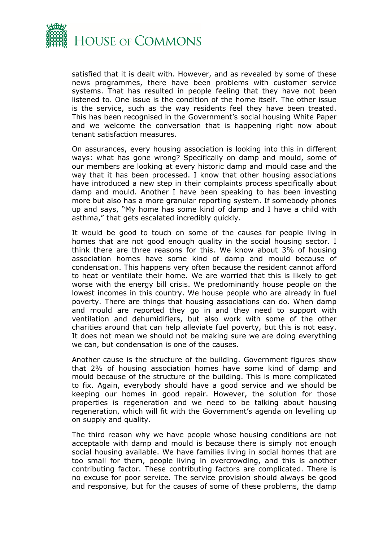

satisfied that it is dealt with. However, and as revealed by some of these news programmes, there have been problems with customer service systems. That has resulted in people feeling that they have not been listened to. One issue is the condition of the home itself. The other issue is the service, such as the way residents feel they have been treated. This has been recognised in the Government's social housing White Paper and we welcome the conversation that is happening right now about tenant satisfaction measures.

On assurances, every housing association is looking into this in different ways: what has gone wrong? Specifically on damp and mould, some of our members are looking at every historic damp and mould case and the way that it has been processed. I know that other housing associations have introduced a new step in their complaints process specifically about damp and mould. Another I have been speaking to has been investing more but also has a more granular reporting system. If somebody phones up and says, "My home has some kind of damp and I have a child with asthma," that gets escalated incredibly quickly.

It would be good to touch on some of the causes for people living in homes that are not good enough quality in the social housing sector. I think there are three reasons for this. We know about 3% of housing association homes have some kind of damp and mould because of condensation. This happens very often because the resident cannot afford to heat or ventilate their home. We are worried that this is likely to get worse with the energy bill crisis. We predominantly house people on the lowest incomes in this country. We house people who are already in fuel poverty. There are things that housing associations can do. When damp and mould are reported they go in and they need to support with ventilation and dehumidifiers, but also work with some of the other charities around that can help alleviate fuel poverty, but this is not easy. It does not mean we should not be making sure we are doing everything we can, but condensation is one of the causes.

Another cause is the structure of the building. Government figures show that 2% of housing association homes have some kind of damp and mould because of the structure of the building. This is more complicated to fix. Again, everybody should have a good service and we should be keeping our homes in good repair. However, the solution for those properties is regeneration and we need to be talking about housing regeneration, which will fit with the Government's agenda on levelling up on supply and quality.

The third reason why we have people whose housing conditions are not acceptable with damp and mould is because there is simply not enough social housing available. We have families living in social homes that are too small for them, people living in overcrowding, and this is another contributing factor. These contributing factors are complicated. There is no excuse for poor service. The service provision should always be good and responsive, but for the causes of some of these problems, the damp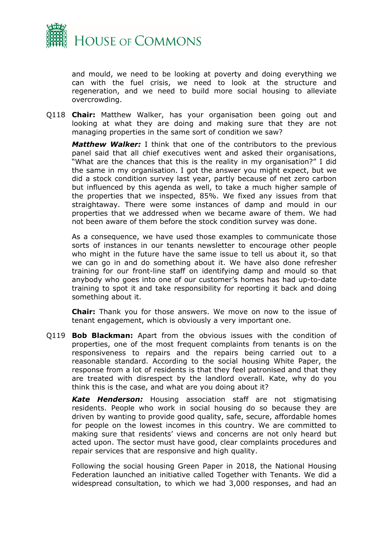

and mould, we need to be looking at poverty and doing everything we can with the fuel crisis, we need to look at the structure and regeneration, and we need to build more social housing to alleviate overcrowding.

Q118 **Chair:** Matthew Walker, has your organisation been going out and looking at what they are doing and making sure that they are not managing properties in the same sort of condition we saw?

*Matthew Walker:* I think that one of the contributors to the previous panel said that all chief executives went and asked their organisations, "What are the chances that this is the reality in my organisation?" I did the same in my organisation. I got the answer you might expect, but we did a stock condition survey last year, partly because of net zero carbon but influenced by this agenda as well, to take a much higher sample of the properties that we inspected, 85%. We fixed any issues from that straightaway. There were some instances of damp and mould in our properties that we addressed when we became aware of them. We had not been aware of them before the stock condition survey was done.

As a consequence, we have used those examples to communicate those sorts of instances in our tenants newsletter to encourage other people who might in the future have the same issue to tell us about it, so that we can go in and do something about it. We have also done refresher training for our front-line staff on identifying damp and mould so that anybody who goes into one of our customer's homes has had up-to-date training to spot it and take responsibility for reporting it back and doing something about it.

**Chair:** Thank you for those answers. We move on now to the issue of tenant engagement, which is obviously a very important one.

Q119 **Bob Blackman:** Apart from the obvious issues with the condition of properties, one of the most frequent complaints from tenants is on the responsiveness to repairs and the repairs being carried out to a reasonable standard. According to the social housing White Paper, the response from a lot of residents is that they feel patronised and that they are treated with disrespect by the landlord overall. Kate, why do you think this is the case, and what are you doing about it?

*Kate Henderson:* Housing association staff are not stigmatising residents. People who work in social housing do so because they are driven by wanting to provide good quality, safe, secure, affordable homes for people on the lowest incomes in this country. We are committed to making sure that residents' views and concerns are not only heard but acted upon. The sector must have good, clear complaints procedures and repair services that are responsive and high quality.

Following the social housing Green Paper in 2018, the National Housing Federation launched an initiative called Together with Tenants. We did a widespread consultation, to which we had 3,000 responses, and had an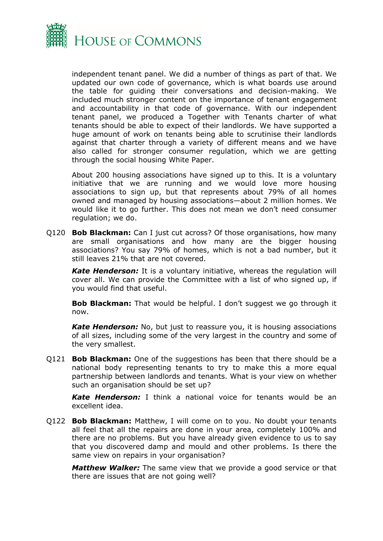

independent tenant panel. We did a number of things as part of that. We updated our own code of governance, which is what boards use around the table for guiding their conversations and decision-making. We included much stronger content on the importance of tenant engagement and accountability in that code of governance. With our independent tenant panel, we produced a Together with Tenants charter of what tenants should be able to expect of their landlords. We have supported a huge amount of work on tenants being able to scrutinise their landlords against that charter through a variety of different means and we have also called for stronger consumer regulation, which we are getting through the social housing White Paper.

About 200 housing associations have signed up to this. It is a voluntary initiative that we are running and we would love more housing associations to sign up, but that represents about 79% of all homes owned and managed by housing associations—about 2 million homes. We would like it to go further. This does not mean we don't need consumer regulation; we do.

Q120 **Bob Blackman:** Can I just cut across? Of those organisations, how many are small organisations and how many are the bigger housing associations? You say 79% of homes, which is not a bad number, but it still leaves 21% that are not covered.

*Kate Henderson:* It is a voluntary initiative, whereas the regulation will cover all. We can provide the Committee with a list of who signed up, if you would find that useful.

**Bob Blackman:** That would be helpful. I don't suggest we go through it now.

*Kate Henderson:* No, but just to reassure you, it is housing associations of all sizes, including some of the very largest in the country and some of the very smallest.

Q121 **Bob Blackman:** One of the suggestions has been that there should be a national body representing tenants to try to make this a more equal partnership between landlords and tenants. What is your view on whether such an organisation should be set up?

*Kate Henderson:* I think a national voice for tenants would be an excellent idea.

Q122 **Bob Blackman:** Matthew, I will come on to you. No doubt your tenants all feel that all the repairs are done in your area, completely 100% and there are no problems. But you have already given evidence to us to say that you discovered damp and mould and other problems. Is there the same view on repairs in your organisation?

*Matthew Walker:* The same view that we provide a good service or that there are issues that are not going well?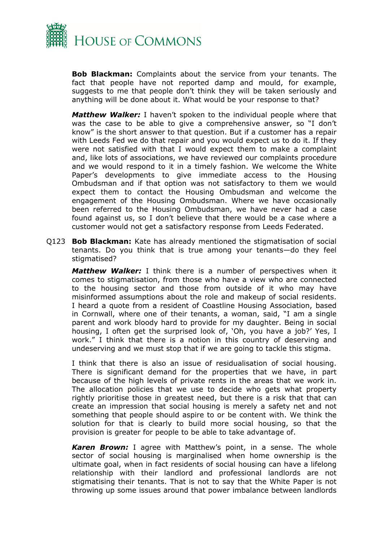

**Bob Blackman:** Complaints about the service from your tenants. The fact that people have not reported damp and mould, for example, suggests to me that people don't think they will be taken seriously and anything will be done about it. What would be your response to that?

*Matthew Walker:* I haven't spoken to the individual people where that was the case to be able to give a comprehensive answer, so "I don't know" is the short answer to that question. But if a customer has a repair with Leeds Fed we do that repair and you would expect us to do it. If they were not satisfied with that I would expect them to make a complaint and, like lots of associations, we have reviewed our complaints procedure and we would respond to it in a timely fashion. We welcome the White Paper's developments to give immediate access to the Housing Ombudsman and if that option was not satisfactory to them we would expect them to contact the Housing Ombudsman and welcome the engagement of the Housing Ombudsman. Where we have occasionally been referred to the Housing Ombudsman, we have never had a case found against us, so I don't believe that there would be a case where a customer would not get a satisfactory response from Leeds Federated.

Q123 **Bob Blackman:** Kate has already mentioned the stigmatisation of social tenants. Do you think that is true among your tenants—do they feel stigmatised?

*Matthew Walker:* I think there is a number of perspectives when it comes to stigmatisation, from those who have a view who are connected to the housing sector and those from outside of it who may have misinformed assumptions about the role and makeup of social residents. I heard a quote from a resident of Coastline Housing Association, based in Cornwall, where one of their tenants, a woman, said, "I am a single parent and work bloody hard to provide for my daughter. Being in social housing, I often get the surprised look of, 'Oh, you have a job?' Yes, I work." I think that there is a notion in this country of deserving and undeserving and we must stop that if we are going to tackle this stigma.

I think that there is also an issue of residualisation of social housing. There is significant demand for the properties that we have, in part because of the high levels of private rents in the areas that we work in. The allocation policies that we use to decide who gets what property rightly prioritise those in greatest need, but there is a risk that that can create an impression that social housing is merely a safety net and not something that people should aspire to or be content with. We think the solution for that is clearly to build more social housing, so that the provision is greater for people to be able to take advantage of.

*Karen Brown:* I agree with Matthew's point, in a sense. The whole sector of social housing is marginalised when home ownership is the ultimate goal, when in fact residents of social housing can have a lifelong relationship with their landlord and professional landlords are not stigmatising their tenants. That is not to say that the White Paper is not throwing up some issues around that power imbalance between landlords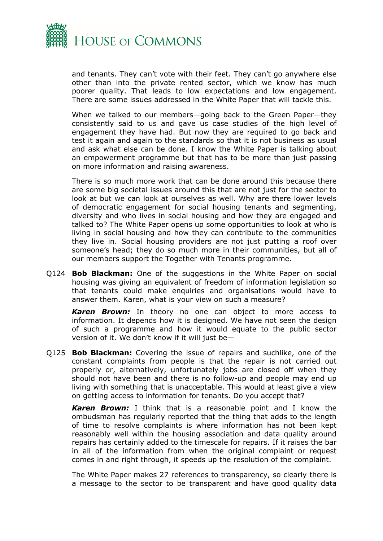

and tenants. They can't vote with their feet. They can't go anywhere else other than into the private rented sector, which we know has much poorer quality. That leads to low expectations and low engagement. There are some issues addressed in the White Paper that will tackle this.

When we talked to our members—going back to the Green Paper—they consistently said to us and gave us case studies of the high level of engagement they have had. But now they are required to go back and test it again and again to the standards so that it is not business as usual and ask what else can be done. I know the White Paper is talking about an empowerment programme but that has to be more than just passing on more information and raising awareness.

There is so much more work that can be done around this because there are some big societal issues around this that are not just for the sector to look at but we can look at ourselves as well. Why are there lower levels of democratic engagement for social housing tenants and segmenting, diversity and who lives in social housing and how they are engaged and talked to? The White Paper opens up some opportunities to look at who is living in social housing and how they can contribute to the communities they live in. Social housing providers are not just putting a roof over someone's head; they do so much more in their communities, but all of our members support the Together with Tenants programme.

Q124 **Bob Blackman:** One of the suggestions in the White Paper on social housing was giving an equivalent of freedom of information legislation so that tenants could make enquiries and organisations would have to answer them. Karen, what is your view on such a measure?

*Karen Brown:* In theory no one can object to more access to information. It depends how it is designed. We have not seen the design of such a programme and how it would equate to the public sector version of it. We don't know if it will just be—

Q125 **Bob Blackman:** Covering the issue of repairs and suchlike, one of the constant complaints from people is that the repair is not carried out properly or, alternatively, unfortunately jobs are closed off when they should not have been and there is no follow-up and people may end up living with something that is unacceptable. This would at least give a view on getting access to information for tenants. Do you accept that?

*Karen Brown:* I think that is a reasonable point and I know the ombudsman has regularly reported that the thing that adds to the length of time to resolve complaints is where information has not been kept reasonably well within the housing association and data quality around repairs has certainly added to the timescale for repairs. If it raises the bar in all of the information from when the original complaint or request comes in and right through, it speeds up the resolution of the complaint.

The White Paper makes 27 references to transparency, so clearly there is a message to the sector to be transparent and have good quality data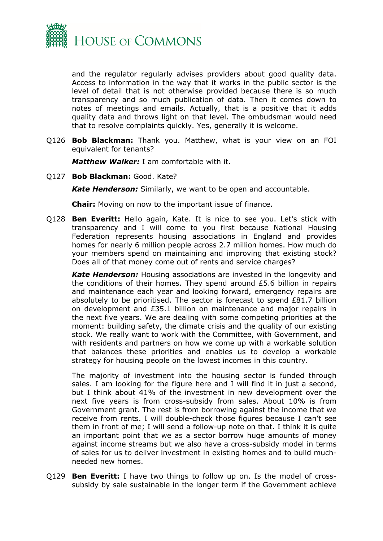

and the regulator regularly advises providers about good quality data. Access to information in the way that it works in the public sector is the level of detail that is not otherwise provided because there is so much transparency and so much publication of data. Then it comes down to notes of meetings and emails. Actually, that is a positive that it adds quality data and throws light on that level. The ombudsman would need that to resolve complaints quickly. Yes, generally it is welcome.

Q126 **Bob Blackman:** Thank you. Matthew, what is your view on an FOI equivalent for tenants?

*Matthew Walker:* I am comfortable with it.

Q127 **Bob Blackman:** Good. Kate?

*Kate Henderson:* Similarly, we want to be open and accountable.

**Chair:** Moving on now to the important issue of finance.

Q128 **Ben Everitt:** Hello again, Kate. It is nice to see you. Let's stick with transparency and I will come to you first because National Housing Federation represents housing associations in England and provides homes for nearly 6 million people across 2.7 million homes. How much do your members spend on maintaining and improving that existing stock? Does all of that money come out of rents and service charges?

*Kate Henderson:* Housing associations are invested in the longevity and the conditions of their homes. They spend around £5.6 billion in repairs and maintenance each year and looking forward, emergency repairs are absolutely to be prioritised. The sector is forecast to spend £81.7 billion on development and £35.1 billion on maintenance and major repairs in the next five years. We are dealing with some competing priorities at the moment: building safety, the climate crisis and the quality of our existing stock. We really want to work with the Committee, with Government, and with residents and partners on how we come up with a workable solution that balances these priorities and enables us to develop a workable strategy for housing people on the lowest incomes in this country.

The majority of investment into the housing sector is funded through sales. I am looking for the figure here and I will find it in just a second, but I think about 41% of the investment in new development over the next five years is from cross-subsidy from sales. About 10% is from Government grant. The rest is from borrowing against the income that we receive from rents. I will double-check those figures because I can't see them in front of me; I will send a follow-up note on that. I think it is quite an important point that we as a sector borrow huge amounts of money against income streams but we also have a cross-subsidy model in terms of sales for us to deliver investment in existing homes and to build muchneeded new homes.

Q129 **Ben Everitt:** I have two things to follow up on. Is the model of crosssubsidy by sale sustainable in the longer term if the Government achieve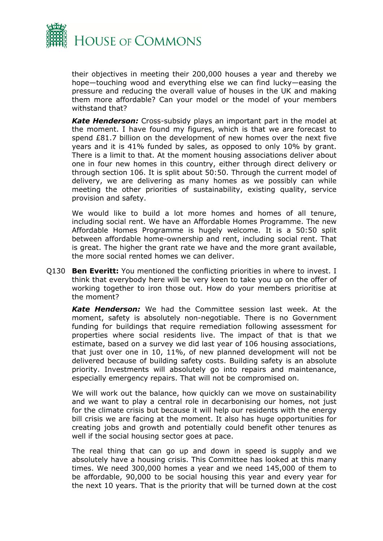

their objectives in meeting their 200,000 houses a year and thereby we hope—touching wood and everything else we can find lucky—easing the pressure and reducing the overall value of houses in the UK and making them more affordable? Can your model or the model of your members withstand that?

*Kate Henderson:* Cross-subsidy plays an important part in the model at the moment. I have found my figures, which is that we are forecast to spend £81.7 billion on the development of new homes over the next five years and it is 41% funded by sales, as opposed to only 10% by grant. There is a limit to that. At the moment housing associations deliver about one in four new homes in this country, either through direct delivery or through section 106. It is split about 50:50. Through the current model of delivery, we are delivering as many homes as we possibly can while meeting the other priorities of sustainability, existing quality, service provision and safety.

We would like to build a lot more homes and homes of all tenure, including social rent. We have an Affordable Homes Programme. The new Affordable Homes Programme is hugely welcome. It is a 50:50 split between affordable home-ownership and rent, including social rent. That is great. The higher the grant rate we have and the more grant available, the more social rented homes we can deliver.

Q130 **Ben Everitt:** You mentioned the conflicting priorities in where to invest. I think that everybody here will be very keen to take you up on the offer of working together to iron those out. How do your members prioritise at the moment?

*Kate Henderson:* We had the Committee session last week. At the moment, safety is absolutely non-negotiable. There is no Government funding for buildings that require remediation following assessment for properties where social residents live. The impact of that is that we estimate, based on a survey we did last year of 106 housing associations, that just over one in 10, 11%, of new planned development will not be delivered because of building safety costs. Building safety is an absolute priority. Investments will absolutely go into repairs and maintenance, especially emergency repairs. That will not be compromised on.

We will work out the balance, how quickly can we move on sustainability and we want to play a central role in decarbonising our homes, not just for the climate crisis but because it will help our residents with the energy bill crisis we are facing at the moment. It also has huge opportunities for creating jobs and growth and potentially could benefit other tenures as well if the social housing sector goes at pace.

The real thing that can go up and down in speed is supply and we absolutely have a housing crisis. This Committee has looked at this many times. We need 300,000 homes a year and we need 145,000 of them to be affordable, 90,000 to be social housing this year and every year for the next 10 years. That is the priority that will be turned down at the cost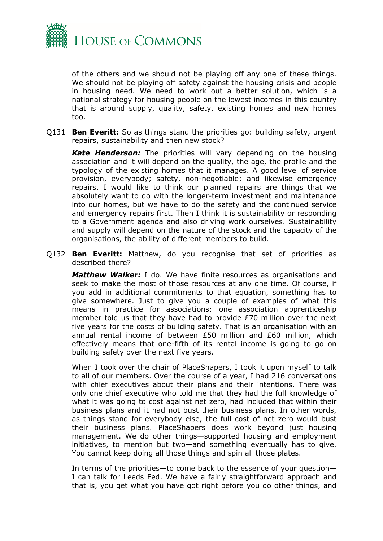

of the others and we should not be playing off any one of these things. We should not be playing off safety against the housing crisis and people in housing need. We need to work out a better solution, which is a national strategy for housing people on the lowest incomes in this country that is around supply, quality, safety, existing homes and new homes too.

Q131 **Ben Everitt:** So as things stand the priorities go: building safety, urgent repairs, sustainability and then new stock?

*Kate Henderson:* The priorities will vary depending on the housing association and it will depend on the quality, the age, the profile and the typology of the existing homes that it manages. A good level of service provision, everybody; safety, non-negotiable; and likewise emergency repairs. I would like to think our planned repairs are things that we absolutely want to do with the longer-term investment and maintenance into our homes, but we have to do the safety and the continued service and emergency repairs first. Then I think it is sustainability or responding to a Government agenda and also driving work ourselves. Sustainability and supply will depend on the nature of the stock and the capacity of the organisations, the ability of different members to build.

Q132 **Ben Everitt:** Matthew, do you recognise that set of priorities as described there?

*Matthew Walker:* I do. We have finite resources as organisations and seek to make the most of those resources at any one time. Of course, if you add in additional commitments to that equation, something has to give somewhere. Just to give you a couple of examples of what this means in practice for associations: one association apprenticeship member told us that they have had to provide £70 million over the next five years for the costs of building safety. That is an organisation with an annual rental income of between £50 million and £60 million, which effectively means that one-fifth of its rental income is going to go on building safety over the next five years.

When I took over the chair of PlaceShapers, I took it upon myself to talk to all of our members. Over the course of a year, I had 216 conversations with chief executives about their plans and their intentions. There was only one chief executive who told me that they had the full knowledge of what it was going to cost against net zero, had included that within their business plans and it had not bust their business plans. In other words, as things stand for everybody else, the full cost of net zero would bust their business plans. PlaceShapers does work beyond just housing management. We do other things—supported housing and employment initiatives, to mention but two—and something eventually has to give. You cannot keep doing all those things and spin all those plates.

In terms of the priorities—to come back to the essence of your question— I can talk for Leeds Fed. We have a fairly straightforward approach and that is, you get what you have got right before you do other things, and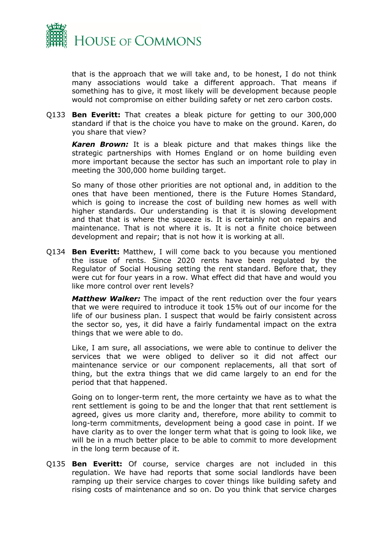

that is the approach that we will take and, to be honest, I do not think many associations would take a different approach. That means if something has to give, it most likely will be development because people would not compromise on either building safety or net zero carbon costs.

Q133 **Ben Everitt:** That creates a bleak picture for getting to our 300,000 standard if that is the choice you have to make on the ground. Karen, do you share that view?

*Karen Brown:* It is a bleak picture and that makes things like the strategic partnerships with Homes England or on home building even more important because the sector has such an important role to play in meeting the 300,000 home building target.

So many of those other priorities are not optional and, in addition to the ones that have been mentioned, there is the Future Homes Standard, which is going to increase the cost of building new homes as well with higher standards. Our understanding is that it is slowing development and that that is where the squeeze is. It is certainly not on repairs and maintenance. That is not where it is. It is not a finite choice between development and repair; that is not how it is working at all.

Q134 **Ben Everitt:** Matthew, I will come back to you because you mentioned the issue of rents. Since 2020 rents have been regulated by the Regulator of Social Housing setting the rent standard. Before that, they were cut for four years in a row. What effect did that have and would you like more control over rent levels?

*Matthew Walker:* The impact of the rent reduction over the four years that we were required to introduce it took 15% out of our income for the life of our business plan. I suspect that would be fairly consistent across the sector so, yes, it did have a fairly fundamental impact on the extra things that we were able to do.

Like, I am sure, all associations, we were able to continue to deliver the services that we were obliged to deliver so it did not affect our maintenance service or our component replacements, all that sort of thing, but the extra things that we did came largely to an end for the period that that happened.

Going on to longer-term rent, the more certainty we have as to what the rent settlement is going to be and the longer that that rent settlement is agreed, gives us more clarity and, therefore, more ability to commit to long-term commitments, development being a good case in point. If we have clarity as to over the longer term what that is going to look like, we will be in a much better place to be able to commit to more development in the long term because of it.

Q135 **Ben Everitt:** Of course, service charges are not included in this regulation. We have had reports that some social landlords have been ramping up their service charges to cover things like building safety and rising costs of maintenance and so on. Do you think that service charges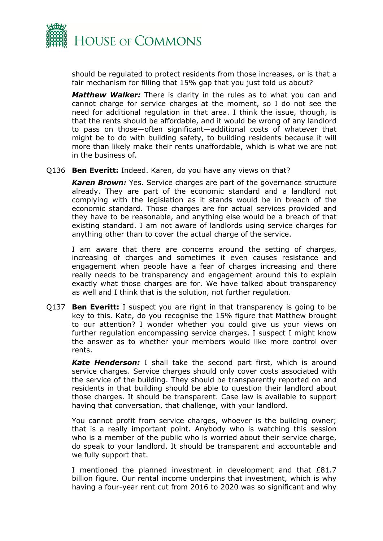

should be regulated to protect residents from those increases, or is that a fair mechanism for filling that 15% gap that you just told us about?

*Matthew Walker:* There is clarity in the rules as to what you can and cannot charge for service charges at the moment, so I do not see the need for additional regulation in that area. I think the issue, though, is that the rents should be affordable, and it would be wrong of any landlord to pass on those—often significant—additional costs of whatever that might be to do with building safety, to building residents because it will more than likely make their rents unaffordable, which is what we are not in the business of.

#### Q136 **Ben Everitt:** Indeed. Karen, do you have any views on that?

*Karen Brown:* Yes. Service charges are part of the governance structure already. They are part of the economic standard and a landlord not complying with the legislation as it stands would be in breach of the economic standard. Those charges are for actual services provided and they have to be reasonable, and anything else would be a breach of that existing standard. I am not aware of landlords using service charges for anything other than to cover the actual charge of the service.

I am aware that there are concerns around the setting of charges, increasing of charges and sometimes it even causes resistance and engagement when people have a fear of charges increasing and there really needs to be transparency and engagement around this to explain exactly what those charges are for. We have talked about transparency as well and I think that is the solution, not further regulation.

Q137 **Ben Everitt:** I suspect you are right in that transparency is going to be key to this. Kate, do you recognise the 15% figure that Matthew brought to our attention? I wonder whether you could give us your views on further regulation encompassing service charges. I suspect I might know the answer as to whether your members would like more control over rents.

*Kate Henderson:* I shall take the second part first, which is around service charges. Service charges should only cover costs associated with the service of the building. They should be transparently reported on and residents in that building should be able to question their landlord about those charges. It should be transparent. Case law is available to support having that conversation, that challenge, with your landlord.

You cannot profit from service charges, whoever is the building owner; that is a really important point. Anybody who is watching this session who is a member of the public who is worried about their service charge, do speak to your landlord. It should be transparent and accountable and we fully support that.

I mentioned the planned investment in development and that £81.7 billion figure. Our rental income underpins that investment, which is why having a four-year rent cut from 2016 to 2020 was so significant and why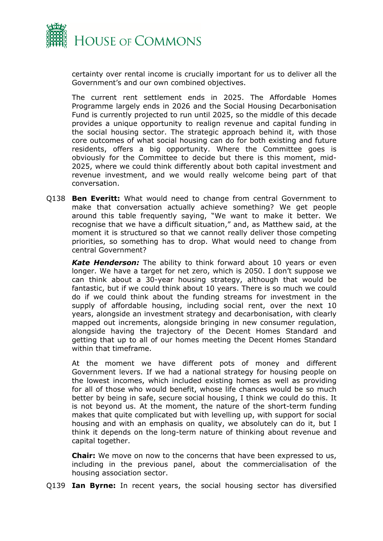

certainty over rental income is crucially important for us to deliver all the Government's and our own combined objectives.

The current rent settlement ends in 2025. The Affordable Homes Programme largely ends in 2026 and the Social Housing Decarbonisation Fund is currently projected to run until 2025, so the middle of this decade provides a unique opportunity to realign revenue and capital funding in the social housing sector. The strategic approach behind it, with those core outcomes of what social housing can do for both existing and future residents, offers a big opportunity. Where the Committee goes is obviously for the Committee to decide but there is this moment, mid-2025, where we could think differently about both capital investment and revenue investment, and we would really welcome being part of that conversation.

Q138 **Ben Everitt:** What would need to change from central Government to make that conversation actually achieve something? We get people around this table frequently saying, "We want to make it better. We recognise that we have a difficult situation," and, as Matthew said, at the moment it is structured so that we cannot really deliver those competing priorities, so something has to drop. What would need to change from central Government?

*Kate Henderson:* The ability to think forward about 10 years or even longer. We have a target for net zero, which is 2050. I don't suppose we can think about a 30-year housing strategy, although that would be fantastic, but if we could think about 10 years. There is so much we could do if we could think about the funding streams for investment in the supply of affordable housing, including social rent, over the next 10 years, alongside an investment strategy and decarbonisation, with clearly mapped out increments, alongside bringing in new consumer regulation, alongside having the trajectory of the Decent Homes Standard and getting that up to all of our homes meeting the Decent Homes Standard within that timeframe.

At the moment we have different pots of money and different Government levers. If we had a national strategy for housing people on the lowest incomes, which included existing homes as well as providing for all of those who would benefit, whose life chances would be so much better by being in safe, secure social housing, I think we could do this. It is not beyond us. At the moment, the nature of the short-term funding makes that quite complicated but with levelling up, with support for social housing and with an emphasis on quality, we absolutely can do it, but I think it depends on the long-term nature of thinking about revenue and capital together.

**Chair:** We move on now to the concerns that have been expressed to us, including in the previous panel, about the commercialisation of the housing association sector.

Q139 **Ian Byrne:** In recent years, the social housing sector has diversified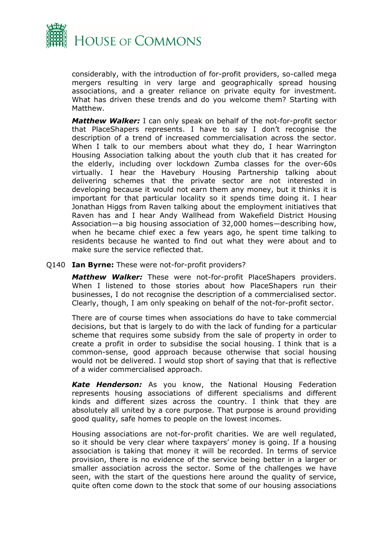

considerably, with the introduction of for-profit providers, so-called mega mergers resulting in very large and geographically spread housing associations, and a greater reliance on private equity for investment. What has driven these trends and do you welcome them? Starting with Matthew.

*Matthew Walker:* I can only speak on behalf of the not-for-profit sector that PlaceShapers represents. I have to say I don't recognise the description of a trend of increased commercialisation across the sector. When I talk to our members about what they do, I hear Warrington Housing Association talking about the youth club that it has created for the elderly, including over lockdown Zumba classes for the over-60s virtually. I hear the Havebury Housing Partnership talking about delivering schemes that the private sector are not interested in developing because it would not earn them any money, but it thinks it is important for that particular locality so it spends time doing it. I hear Jonathan Higgs from Raven talking about the employment initiatives that Raven has and I hear Andy Wallhead from Wakefield District Housing Association—a big housing association of 32,000 homes—describing how, when he became chief exec a few years ago, he spent time talking to residents because he wanted to find out what they were about and to make sure the service reflected that.

Q140 **Ian Byrne:** These were not-for-profit providers?

*Matthew Walker:* These were not-for-profit PlaceShapers providers. When I listened to those stories about how PlaceShapers run their businesses, I do not recognise the description of a commercialised sector. Clearly, though, I am only speaking on behalf of the not-for-profit sector.

There are of course times when associations do have to take commercial decisions, but that is largely to do with the lack of funding for a particular scheme that requires some subsidy from the sale of property in order to create a profit in order to subsidise the social housing. I think that is a common-sense, good approach because otherwise that social housing would not be delivered. I would stop short of saying that that is reflective of a wider commercialised approach.

*Kate Henderson:* As you know, the National Housing Federation represents housing associations of different specialisms and different kinds and different sizes across the country. I think that they are absolutely all united by a core purpose. That purpose is around providing good quality, safe homes to people on the lowest incomes.

Housing associations are not-for-profit charities. We are well regulated, so it should be very clear where taxpayers' money is going. If a housing association is taking that money it will be recorded. In terms of service provision, there is no evidence of the service being better in a larger or smaller association across the sector. Some of the challenges we have seen, with the start of the questions here around the quality of service, quite often come down to the stock that some of our housing associations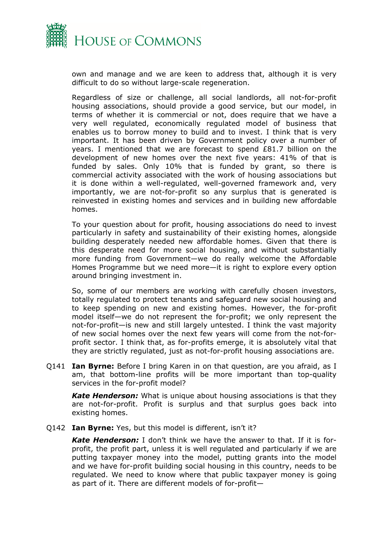

own and manage and we are keen to address that, although it is very difficult to do so without large-scale regeneration.

Regardless of size or challenge, all social landlords, all not-for-profit housing associations, should provide a good service, but our model, in terms of whether it is commercial or not, does require that we have a very well regulated, economically regulated model of business that enables us to borrow money to build and to invest. I think that is very important. It has been driven by Government policy over a number of years. I mentioned that we are forecast to spend £81.7 billion on the development of new homes over the next five years: 41% of that is funded by sales. Only 10% that is funded by grant, so there is commercial activity associated with the work of housing associations but it is done within a well-regulated, well-governed framework and, very importantly, we are not-for-profit so any surplus that is generated is reinvested in existing homes and services and in building new affordable homes.

To your question about for profit, housing associations do need to invest particularly in safety and sustainability of their existing homes, alongside building desperately needed new affordable homes. Given that there is this desperate need for more social housing, and without substantially more funding from Government—we do really welcome the Affordable Homes Programme but we need more—it is right to explore every option around bringing investment in.

So, some of our members are working with carefully chosen investors, totally regulated to protect tenants and safeguard new social housing and to keep spending on new and existing homes. However, the for-profit model itself—we do not represent the for-profit; we only represent the not-for-profit—is new and still largely untested. I think the vast majority of new social homes over the next few years will come from the not-forprofit sector. I think that, as for-profits emerge, it is absolutely vital that they are strictly regulated, just as not-for-profit housing associations are.

Q141 **Ian Byrne:** Before I bring Karen in on that question, are you afraid, as I am, that bottom-line profits will be more important than top-quality services in the for-profit model?

*Kate Henderson:* What is unique about housing associations is that they are not-for-profit. Profit is surplus and that surplus goes back into existing homes.

Q142 **Ian Byrne:** Yes, but this model is different, isn't it?

*Kate Henderson:* I don't think we have the answer to that. If it is forprofit, the profit part, unless it is well regulated and particularly if we are putting taxpayer money into the model, putting grants into the model and we have for-profit building social housing in this country, needs to be regulated. We need to know where that public taxpayer money is going as part of it. There are different models of for-profit—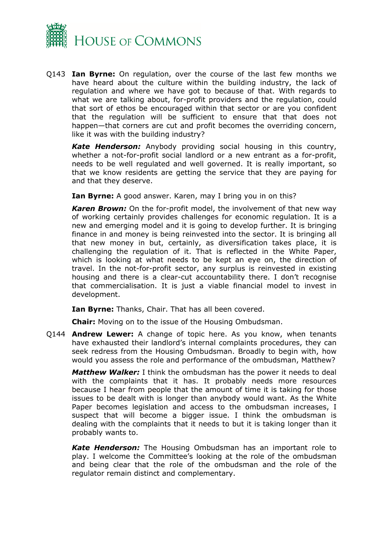

Q143 **Ian Byrne:** On regulation, over the course of the last few months we have heard about the culture within the building industry, the lack of regulation and where we have got to because of that. With regards to what we are talking about, for-profit providers and the regulation, could that sort of ethos be encouraged within that sector or are you confident that the regulation will be sufficient to ensure that that does not happen—that corners are cut and profit becomes the overriding concern, like it was with the building industry?

*Kate Henderson:* Anybody providing social housing in this country, whether a not-for-profit social landlord or a new entrant as a for-profit, needs to be well regulated and well governed. It is really important, so that we know residents are getting the service that they are paying for and that they deserve.

**Ian Byrne:** A good answer. Karen, may I bring you in on this?

*Karen Brown:* On the for-profit model, the involvement of that new way of working certainly provides challenges for economic regulation. It is a new and emerging model and it is going to develop further. It is bringing finance in and money is being reinvested into the sector. It is bringing all that new money in but, certainly, as diversification takes place, it is challenging the regulation of it. That is reflected in the White Paper, which is looking at what needs to be kept an eye on, the direction of travel. In the not-for-profit sector, any surplus is reinvested in existing housing and there is a clear-cut accountability there. I don't recognise that commercialisation. It is just a viable financial model to invest in development.

**Ian Byrne:** Thanks, Chair. That has all been covered.

**Chair:** Moving on to the issue of the Housing Ombudsman.

Q144 **Andrew Lewer:** A change of topic here. As you know, when tenants have exhausted their landlord's internal complaints procedures, they can seek redress from the Housing Ombudsman. Broadly to begin with, how would you assess the role and performance of the ombudsman, Matthew?

*Matthew Walker:* I think the ombudsman has the power it needs to deal with the complaints that it has. It probably needs more resources because I hear from people that the amount of time it is taking for those issues to be dealt with is longer than anybody would want. As the White Paper becomes legislation and access to the ombudsman increases, I suspect that will become a bigger issue. I think the ombudsman is dealing with the complaints that it needs to but it is taking longer than it probably wants to.

*Kate Henderson:* The Housing Ombudsman has an important role to play. I welcome the Committee's looking at the role of the ombudsman and being clear that the role of the ombudsman and the role of the regulator remain distinct and complementary.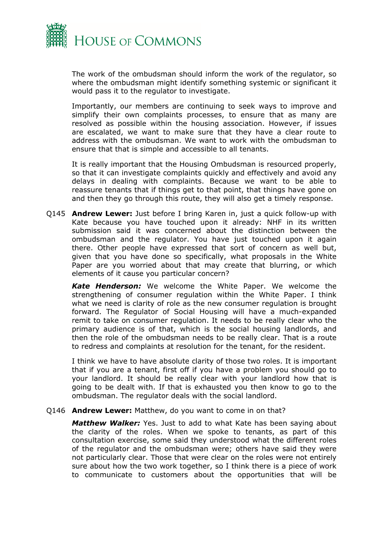

The work of the ombudsman should inform the work of the regulator, so where the ombudsman might identify something systemic or significant it would pass it to the regulator to investigate.

Importantly, our members are continuing to seek ways to improve and simplify their own complaints processes, to ensure that as many are resolved as possible within the housing association. However, if issues are escalated, we want to make sure that they have a clear route to address with the ombudsman. We want to work with the ombudsman to ensure that that is simple and accessible to all tenants.

It is really important that the Housing Ombudsman is resourced properly, so that it can investigate complaints quickly and effectively and avoid any delays in dealing with complaints. Because we want to be able to reassure tenants that if things get to that point, that things have gone on and then they go through this route, they will also get a timely response.

Q145 **Andrew Lewer:** Just before I bring Karen in, just a quick follow-up with Kate because you have touched upon it already: NHF in its written submission said it was concerned about the distinction between the ombudsman and the regulator. You have just touched upon it again there. Other people have expressed that sort of concern as well but, given that you have done so specifically, what proposals in the White Paper are you worried about that may create that blurring, or which elements of it cause you particular concern?

*Kate Henderson:* We welcome the White Paper. We welcome the strengthening of consumer regulation within the White Paper. I think what we need is clarity of role as the new consumer regulation is brought forward. The Regulator of Social Housing will have a much-expanded remit to take on consumer regulation. It needs to be really clear who the primary audience is of that, which is the social housing landlords, and then the role of the ombudsman needs to be really clear. That is a route to redress and complaints at resolution for the tenant, for the resident.

I think we have to have absolute clarity of those two roles. It is important that if you are a tenant, first off if you have a problem you should go to your landlord. It should be really clear with your landlord how that is going to be dealt with. If that is exhausted you then know to go to the ombudsman. The regulator deals with the social landlord.

#### Q146 **Andrew Lewer:** Matthew, do you want to come in on that?

*Matthew Walker:* Yes. Just to add to what Kate has been saying about the clarity of the roles. When we spoke to tenants, as part of this consultation exercise, some said they understood what the different roles of the regulator and the ombudsman were; others have said they were not particularly clear. Those that were clear on the roles were not entirely sure about how the two work together, so I think there is a piece of work to communicate to customers about the opportunities that will be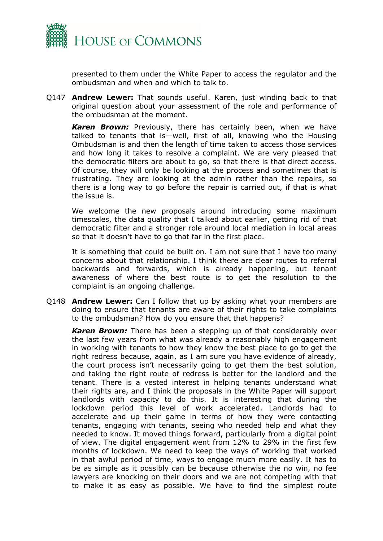

presented to them under the White Paper to access the regulator and the ombudsman and when and which to talk to.

Q147 **Andrew Lewer:** That sounds useful. Karen, just winding back to that original question about your assessment of the role and performance of the ombudsman at the moment.

*Karen Brown:* Previously, there has certainly been, when we have talked to tenants that is—well, first of all, knowing who the Housing Ombudsman is and then the length of time taken to access those services and how long it takes to resolve a complaint. We are very pleased that the democratic filters are about to go, so that there is that direct access. Of course, they will only be looking at the process and sometimes that is frustrating. They are looking at the admin rather than the repairs, so there is a long way to go before the repair is carried out, if that is what the issue is.

We welcome the new proposals around introducing some maximum timescales, the data quality that I talked about earlier, getting rid of that democratic filter and a stronger role around local mediation in local areas so that it doesn't have to go that far in the first place.

It is something that could be built on. I am not sure that I have too many concerns about that relationship. I think there are clear routes to referral backwards and forwards, which is already happening, but tenant awareness of where the best route is to get the resolution to the complaint is an ongoing challenge.

Q148 **Andrew Lewer:** Can I follow that up by asking what your members are doing to ensure that tenants are aware of their rights to take complaints to the ombudsman? How do you ensure that that happens?

*Karen Brown:* There has been a stepping up of that considerably over the last few years from what was already a reasonably high engagement in working with tenants to how they know the best place to go to get the right redress because, again, as I am sure you have evidence of already, the court process isn't necessarily going to get them the best solution, and taking the right route of redress is better for the landlord and the tenant. There is a vested interest in helping tenants understand what their rights are, and I think the proposals in the White Paper will support landlords with capacity to do this. It is interesting that during the lockdown period this level of work accelerated. Landlords had to accelerate and up their game in terms of how they were contacting tenants, engaging with tenants, seeing who needed help and what they needed to know. It moved things forward, particularly from a digital point of view. The digital engagement went from 12% to 29% in the first few months of lockdown. We need to keep the ways of working that worked in that awful period of time, ways to engage much more easily. It has to be as simple as it possibly can be because otherwise the no win, no fee lawyers are knocking on their doors and we are not competing with that to make it as easy as possible. We have to find the simplest route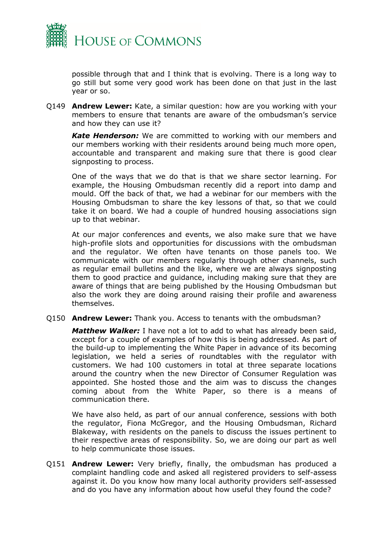

possible through that and I think that is evolving. There is a long way to go still but some very good work has been done on that just in the last year or so.

Q149 **Andrew Lewer:** Kate, a similar question: how are you working with your members to ensure that tenants are aware of the ombudsman's service and how they can use it?

*Kate Henderson:* We are committed to working with our members and our members working with their residents around being much more open, accountable and transparent and making sure that there is good clear signposting to process.

One of the ways that we do that is that we share sector learning. For example, the Housing Ombudsman recently did a report into damp and mould. Off the back of that, we had a webinar for our members with the Housing Ombudsman to share the key lessons of that, so that we could take it on board. We had a couple of hundred housing associations sign up to that webinar.

At our major conferences and events, we also make sure that we have high-profile slots and opportunities for discussions with the ombudsman and the regulator. We often have tenants on those panels too. We communicate with our members regularly through other channels, such as regular email bulletins and the like, where we are always signposting them to good practice and guidance, including making sure that they are aware of things that are being published by the Housing Ombudsman but also the work they are doing around raising their profile and awareness themselves.

Q150 **Andrew Lewer:** Thank you. Access to tenants with the ombudsman?

*Matthew Walker:* I have not a lot to add to what has already been said, except for a couple of examples of how this is being addressed. As part of the build-up to implementing the White Paper in advance of its becoming legislation, we held a series of roundtables with the regulator with customers. We had 100 customers in total at three separate locations around the country when the new Director of Consumer Regulation was appointed. She hosted those and the aim was to discuss the changes coming about from the White Paper, so there is a means of communication there.

We have also held, as part of our annual conference, sessions with both the regulator, Fiona McGregor, and the Housing Ombudsman, Richard Blakeway, with residents on the panels to discuss the issues pertinent to their respective areas of responsibility. So, we are doing our part as well to help communicate those issues.

Q151 **Andrew Lewer:** Very briefly, finally, the ombudsman has produced a complaint handling code and asked all registered providers to self-assess against it. Do you know how many local authority providers self-assessed and do you have any information about how useful they found the code?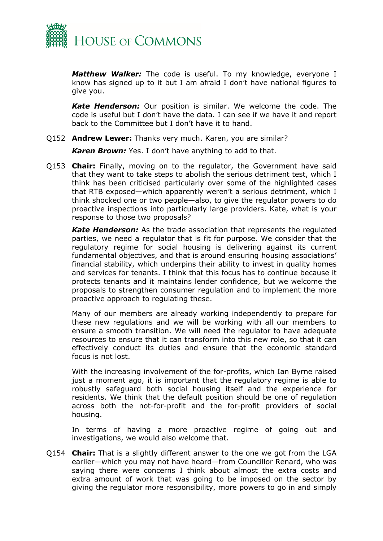

*Matthew Walker:* The code is useful. To my knowledge, everyone I know has signed up to it but I am afraid I don't have national figures to give you.

*Kate Henderson:* Our position is similar. We welcome the code. The code is useful but I don't have the data. I can see if we have it and report back to the Committee but I don't have it to hand.

Q152 **Andrew Lewer:** Thanks very much. Karen, you are similar?

*Karen Brown:* Yes. I don't have anything to add to that.

Q153 **Chair:** Finally, moving on to the regulator, the Government have said that they want to take steps to abolish the serious detriment test, which I think has been criticised particularly over some of the highlighted cases that RTB exposed—which apparently weren't a serious detriment, which I think shocked one or two people—also, to give the regulator powers to do proactive inspections into particularly large providers. Kate, what is your response to those two proposals?

*Kate Henderson:* As the trade association that represents the regulated parties, we need a regulator that is fit for purpose. We consider that the regulatory regime for social housing is delivering against its current fundamental objectives, and that is around ensuring housing associations' financial stability, which underpins their ability to invest in quality homes and services for tenants. I think that this focus has to continue because it protects tenants and it maintains lender confidence, but we welcome the proposals to strengthen consumer regulation and to implement the more proactive approach to regulating these.

Many of our members are already working independently to prepare for these new regulations and we will be working with all our members to ensure a smooth transition. We will need the regulator to have adequate resources to ensure that it can transform into this new role, so that it can effectively conduct its duties and ensure that the economic standard focus is not lost.

With the increasing involvement of the for-profits, which Ian Byrne raised just a moment ago, it is important that the regulatory regime is able to robustly safeguard both social housing itself and the experience for residents. We think that the default position should be one of regulation across both the not-for-profit and the for-profit providers of social housing.

In terms of having a more proactive regime of going out and investigations, we would also welcome that.

Q154 **Chair:** That is a slightly different answer to the one we got from the LGA earlier—which you may not have heard—from Councillor Renard, who was saying there were concerns I think about almost the extra costs and extra amount of work that was going to be imposed on the sector by giving the regulator more responsibility, more powers to go in and simply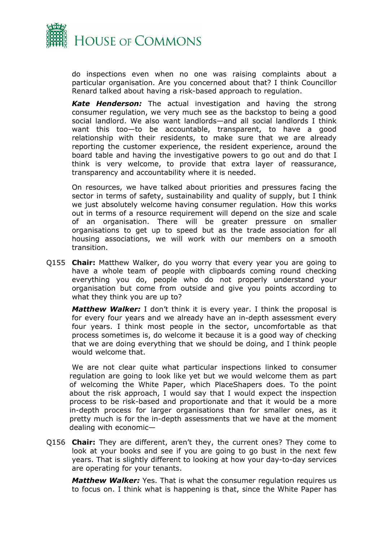

do inspections even when no one was raising complaints about a particular organisation. Are you concerned about that? I think Councillor Renard talked about having a risk-based approach to regulation.

*Kate Henderson:* The actual investigation and having the strong consumer regulation, we very much see as the backstop to being a good social landlord. We also want landlords—and all social landlords I think want this too—to be accountable, transparent, to have a good relationship with their residents, to make sure that we are already reporting the customer experience, the resident experience, around the board table and having the investigative powers to go out and do that I think is very welcome, to provide that extra layer of reassurance, transparency and accountability where it is needed.

On resources, we have talked about priorities and pressures facing the sector in terms of safety, sustainability and quality of supply, but I think we just absolutely welcome having consumer regulation. How this works out in terms of a resource requirement will depend on the size and scale of an organisation. There will be greater pressure on smaller organisations to get up to speed but as the trade association for all housing associations, we will work with our members on a smooth transition.

Q155 **Chair:** Matthew Walker, do you worry that every year you are going to have a whole team of people with clipboards coming round checking everything you do, people who do not properly understand your organisation but come from outside and give you points according to what they think you are up to?

*Matthew Walker:* I don't think it is every year. I think the proposal is for every four years and we already have an in-depth assessment every four years. I think most people in the sector, uncomfortable as that process sometimes is, do welcome it because it is a good way of checking that we are doing everything that we should be doing, and I think people would welcome that.

We are not clear quite what particular inspections linked to consumer regulation are going to look like yet but we would welcome them as part of welcoming the White Paper, which PlaceShapers does. To the point about the risk approach, I would say that I would expect the inspection process to be risk-based and proportionate and that it would be a more in-depth process for larger organisations than for smaller ones, as it pretty much is for the in-depth assessments that we have at the moment dealing with economic—

Q156 **Chair:** They are different, aren't they, the current ones? They come to look at your books and see if you are going to go bust in the next few years. That is slightly different to looking at how your day-to-day services are operating for your tenants.

*Matthew Walker:* Yes. That is what the consumer regulation requires us to focus on. I think what is happening is that, since the White Paper has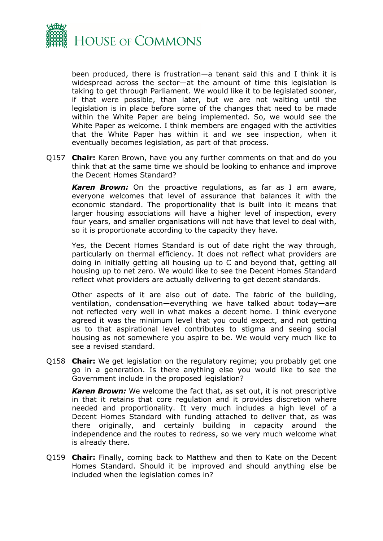

been produced, there is frustration—a tenant said this and I think it is widespread across the sector—at the amount of time this legislation is taking to get through Parliament. We would like it to be legislated sooner, if that were possible, than later, but we are not waiting until the legislation is in place before some of the changes that need to be made within the White Paper are being implemented. So, we would see the White Paper as welcome. I think members are engaged with the activities that the White Paper has within it and we see inspection, when it eventually becomes legislation, as part of that process.

Q157 **Chair:** Karen Brown, have you any further comments on that and do you think that at the same time we should be looking to enhance and improve the Decent Homes Standard?

*Karen Brown:* On the proactive regulations, as far as I am aware, everyone welcomes that level of assurance that balances it with the economic standard. The proportionality that is built into it means that larger housing associations will have a higher level of inspection, every four years, and smaller organisations will not have that level to deal with, so it is proportionate according to the capacity they have.

Yes, the Decent Homes Standard is out of date right the way through, particularly on thermal efficiency. It does not reflect what providers are doing in initially getting all housing up to C and beyond that, getting all housing up to net zero. We would like to see the Decent Homes Standard reflect what providers are actually delivering to get decent standards.

Other aspects of it are also out of date. The fabric of the building, ventilation, condensation—everything we have talked about today—are not reflected very well in what makes a decent home. I think everyone agreed it was the minimum level that you could expect, and not getting us to that aspirational level contributes to stigma and seeing social housing as not somewhere you aspire to be. We would very much like to see a revised standard.

Q158 **Chair:** We get legislation on the regulatory regime; you probably get one go in a generation. Is there anything else you would like to see the Government include in the proposed legislation?

*Karen Brown:* We welcome the fact that, as set out, it is not prescriptive in that it retains that core regulation and it provides discretion where needed and proportionality. It very much includes a high level of a Decent Homes Standard with funding attached to deliver that, as was there originally, and certainly building in capacity around the independence and the routes to redress, so we very much welcome what is already there.

Q159 **Chair:** Finally, coming back to Matthew and then to Kate on the Decent Homes Standard. Should it be improved and should anything else be included when the legislation comes in?